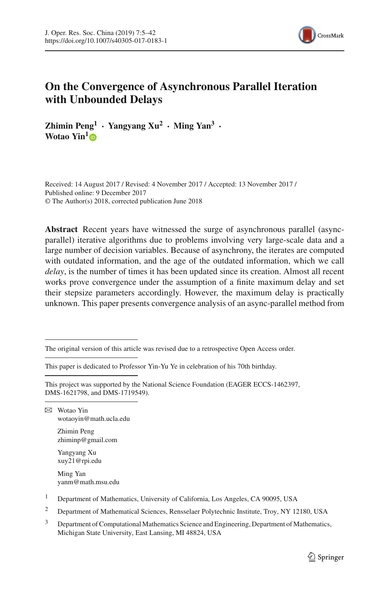

# **On the Convergence of Asynchronous Parallel Iteration with Unbounded Delays**

**Zhimin Peng**<sup> $1$ </sup> **· Yangyang Xu<sup>2</sup> · Ming Yan<sup>3</sup> ·** Wotao Yin<sup>[1](http://orcid.org/0000-0001-6697-9731)</sup><sup>1</sup>

Received: 14 August 2017 / Revised: 4 November 2017 / Accepted: 13 November 2017 / Published online: 9 December 2017 © The Author(s) 2018, corrected publication June 2018

**Abstract** Recent years have witnessed the surge of asynchronous parallel (asyncparallel) iterative algorithms due to problems involving very large-scale data and a large number of decision variables. Because of asynchrony, the iterates are computed with outdated information, and the age of the outdated information, which we call *delay*, is the number of times it has been updated since its creation. Almost all recent works prove convergence under the assumption of a finite maximum delay and set their stepsize parameters accordingly. However, the maximum delay is practically unknown. This paper presents convergence analysis of an async-parallel method from

This paper is dedicated to Professor Yin-Yu Ye in celebration of his 70th birthday.

B Wotao Yin wotaoyin@math.ucla.edu

> Zhimin Peng zhiminp@gmail.com

Yangyang Xu xuy21@rpi.edu

Ming Yan yanm@math.msu.edu

- <sup>1</sup> Department of Mathematics, University of California, Los Angeles, CA 90095, USA
- <sup>2</sup> Department of Mathematical Sciences, Rensselaer Polytechnic Institute, Troy, NY 12180, USA
- $3$  Department of Computational Mathematics Science and Engineering, Department of Mathematics, Michigan State University, East Lansing, MI 48824, USA

The original version of this article was revised due to a retrospective Open Access order.

This project was supported by the National Science Foundation (EAGER ECCS-1462397, DMS-1621798, and DMS-1719549).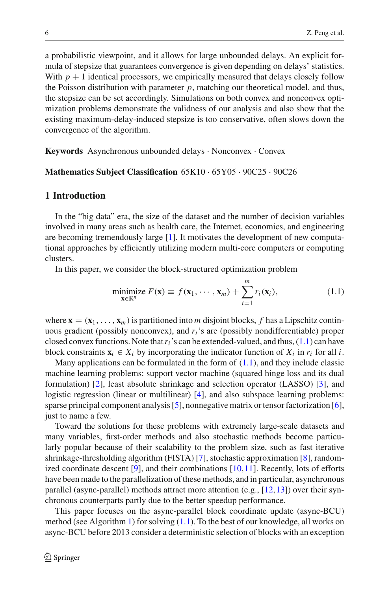a probabilistic viewpoint, and it allows for large unbounded delays. An explicit formula of stepsize that guarantees convergence is given depending on delays' statistics. With  $p + 1$  identical processors, we empirically measured that delays closely follow the Poisson distribution with parameter *p*, matching our theoretical model, and thus, the stepsize can be set accordingly. Simulations on both convex and nonconvex optimization problems demonstrate the validness of our analysis and also show that the existing maximum-delay-induced stepsize is too conservative, often slows down the convergence of the algorithm.

**Keywords** Asynchronous unbounded delays · Nonconvex · Convex

#### **Mathematics Subject Classification** 65K10 · 65Y05 · 90C25 · 90C26

### **1 Introduction**

In the "big data" era, the size of the dataset and the number of decision variables involved in many areas such as health care, the Internet, economics, and engineering are becoming tremendously large [\[1\]](#page-36-0). It motivates the development of new computational approaches by efficiently utilizing modern multi-core computers or computing clusters.

In this paper, we consider the block-structured optimization problem

<span id="page-1-0"></span>
$$
\underset{\mathbf{x} \in \mathbb{R}^n}{\text{minimize}} \ F(\mathbf{x}) \equiv f(\mathbf{x}_1, \cdots, \mathbf{x}_m) + \sum_{i=1}^m r_i(\mathbf{x}_i),\tag{1.1}
$$

where  $\mathbf{x} = (\mathbf{x}_1, \dots, \mathbf{x}_m)$  is partitioned into *m* disjoint blocks, f has a Lipschitz continuous gradient (possibly nonconvex), and *ri*'s are (possibly nondifferentiable) proper closed convex functions. Note that*ri*'s can be extended-valued, and thus, [\(1.1\)](#page-1-0) can have block constraints  $\mathbf{x}_i \in X_i$  by incorporating the indicator function of  $X_i$  in  $r_i$  for all *i*.

Many applications can be formulated in the form of  $(1.1)$ , and they include classic machine learning problems: support vector machine (squared hinge loss and its dual formulation) [\[2\]](#page-36-1), least absolute shrinkage and selection operator (LASSO) [\[3\]](#page-36-2), and logistic regression (linear or multilinear) [\[4\]](#page-36-3), and also subspace learning problems: sparse principal component analysis [\[5\]](#page-36-4), nonnegative matrix or tensor factorization [\[6](#page-36-5)], just to name a few.

Toward the solutions for these problems with extremely large-scale datasets and many variables, first-order methods and also stochastic methods become particularly popular because of their scalability to the problem size, such as fast iterative shrinkage-thresholding algorithm (FISTA) [\[7](#page-36-6)], stochastic approximation [\[8\]](#page-36-7), randomized coordinate descent  $[9]$ , and their combinations  $[10, 11]$  $[10, 11]$  $[10, 11]$ . Recently, lots of efforts have been made to the parallelization of these methods, and in particular, asynchronous parallel (async-parallel) methods attract more attention (e.g., [\[12](#page-36-11)[,13](#page-36-12)]) over their synchronous counterparts partly due to the better speedup performance.

This paper focuses on the async-parallel block coordinate update (async-BCU) method (see Algorithm [1\)](#page-2-0) for solving [\(1.1\)](#page-1-0). To the best of our knowledge, all works on async-BCU before 2013 consider a deterministic selection of blocks with an exception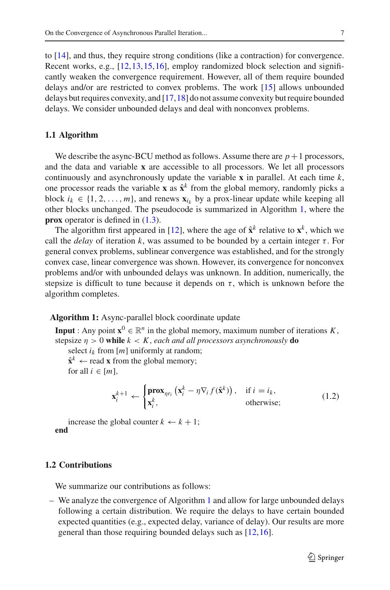to [\[14](#page-36-13)], and thus, they require strong conditions (like a contraction) for convergence. Recent works, e.g., [\[12](#page-36-11),[13,](#page-36-12)[15](#page-37-0)[,16](#page-37-1)], employ randomized block selection and significantly weaken the convergence requirement. However, all of them require bounded delays and/or are restricted to convex problems. The work [\[15\]](#page-37-0) allows unbounded delays but requires convexity, and [\[17](#page-37-2)[,18](#page-37-3)] do not assume convexity but require bounded delays. We consider unbounded delays and deal with nonconvex problems.

#### **1.1 Algorithm**

We describe the async-BCU method as follows. Assume there are  $p+1$  processors, and the data and variable **x** are accessible to all processors. We let all processors continuously and asynchronously update the variable **x** in parallel. At each time *k*, one processor reads the variable **x** as  $\hat{\mathbf{x}}^k$  from the global memory, randomly picks a block  $i_k \in \{1, 2, ..., m\}$ , and renews  $\mathbf{x}_i$ , by a prox-linear update while keeping all other blocks unchanged. The pseudocode is summarized in Algorithm [1,](#page-2-0) where the **prox** operator is defined in  $(1.3)$ .

The algorithm first appeared in [\[12](#page-36-11)], where the age of  $\hat{\mathbf{x}}^k$  relative to  $\mathbf{x}^k$ , which we call the *delay* of iteration *k*, was assumed to be bounded by a certain integer  $\tau$ . For general convex problems, sublinear convergence was established, and for the strongly convex case, linear convergence was shown. However, its convergence for nonconvex problems and/or with unbounded delays was unknown. In addition, numerically, the stepsize is difficult to tune because it depends on  $\tau$ , which is unknown before the algorithm completes.

#### **Algorithm 1:** Async-parallel block coordinate update

<span id="page-2-0"></span>**Input** : Any point  $\mathbf{x}^0 \in \mathbb{R}^n$  in the global memory, maximum number of iterations *K*, stepsize  $\eta > 0$  while  $k < K$ , each and all processors asynchronously **do** 

select  $i_k$  from  $[m]$  uniformly at random;  $\hat{\mathbf{x}}^k \leftarrow$  read **x** from the global memory;

for all  $i \in [m]$ ,

$$
\mathbf{x}_{i}^{k+1} \leftarrow \begin{cases} \mathbf{prox}_{\eta r_{i}} \left( \mathbf{x}_{i}^{k} - \eta \nabla_{i} f(\hat{\mathbf{x}}^{k}) \right), & \text{if } i = i_{k}, \\ \mathbf{x}_{i}^{k}, & \text{otherwise}; \end{cases}
$$
(1.2)

increase the global counter  $k \leftarrow k + 1$ ; **end**

#### **1.2 Contributions**

We summarize our contributions as follows:

– We analyze the convergence of Algorithm [1](#page-2-0) and allow for large unbounded delays following a certain distribution. We require the delays to have certain bounded expected quantities (e.g., expected delay, variance of delay). Our results are more general than those requiring bounded delays such as [\[12](#page-36-11),[16](#page-37-1)].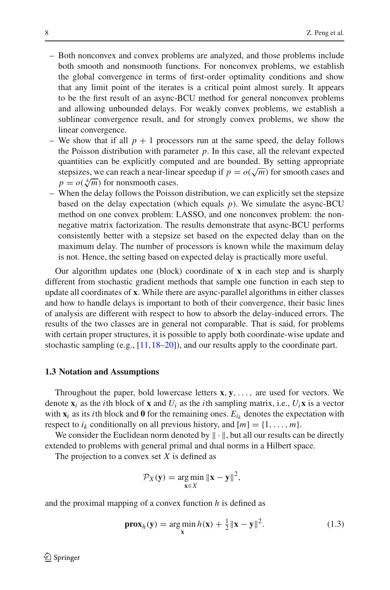- Both nonconvex and convex problems are analyzed, and those problems include both smooth and nonsmooth functions. For nonconvex problems, we establish the global convergence in terms of first-order optimality conditions and show that any limit point of the iterates is a critical point almost surely. It appears to be the first result of an async-BCU method for general nonconvex problems and allowing unbounded delays. For weakly convex problems, we establish a sublinear convergence result, and for strongly convex problems, we show the linear convergence.
- We show that if all  $p + 1$  processors run at the same speed, the delay follows the Poisson distribution with parameter *p*. In this case, all the relevant expected quantities can be explicitly computed and are bounded. By setting appropriate stepsizes, we can reach a near-linear speedup if  $p = o(\sqrt{m})$  for smooth cases and  $p = o(\sqrt[4]{m})$  for nonsmooth cases.
- When the delay follows the Poisson distribution, we can explicitly set the stepsize based on the delay expectation (which equals *p*). We simulate the async-BCU method on one convex problem: LASSO, and one nonconvex problem: the nonnegative matrix factorization. The results demonstrate that async-BCU performs consistently better with a stepsize set based on the expected delay than on the maximum delay. The number of processors is known while the maximum delay is not. Hence, the setting based on expected delay is practically more useful.

Our algorithm updates one (block) coordinate of **x** in each step and is sharply different from stochastic gradient methods that sample one function in each step to update all coordinates of **x**. While there are async-parallel algorithms in either classes and how to handle delays is important to both of their convergence, their basic lines of analysis are different with respect to how to absorb the delay-induced errors. The results of the two classes are in general not comparable. That is said, for problems with certain proper structures, it is possible to apply both coordinate-wise update and stochastic sampling (e.g., [\[11,](#page-36-10)[18](#page-37-3)[–20\]](#page-37-4)), and our results apply to the coordinate part.

#### **1.3 Notation and Assumptions**

Throughout the paper, bold lowercase letters **x**, **y**,..., are used for vectors. We denote  $\mathbf{x}_i$  as the *i*th block of **x** and  $U_i$  as the *i*th sampling matrix, i.e.,  $U_i \mathbf{x}$  is a vector with  $\mathbf{x}_i$  as its *i*th block and **0** for the remaining ones.  $E_{i_k}$  denotes the expectation with respect to  $i_k$  conditionally on all previous history, and  $[m] = \{1, \ldots, m\}.$ 

We consider the Euclidean norm denoted by  $\|\cdot\|$ , but all our results can be directly extended to problems with general primal and dual norms in a Hilbert space.

The projection to a convex set *X* is defined as

$$
\mathcal{P}_X(\mathbf{y}) = \underset{\mathbf{x} \in X}{\arg \min} \|\mathbf{x} - \mathbf{y}\|^2,
$$

and the proximal mapping of a convex function *h* is defined as

<span id="page-3-0"></span>
$$
\mathbf{prox}_{h}(\mathbf{y}) = \underset{\mathbf{x}}{\arg\min} h(\mathbf{x}) + \frac{1}{2} \|\mathbf{x} - \mathbf{y}\|^{2}.
$$
 (1.3)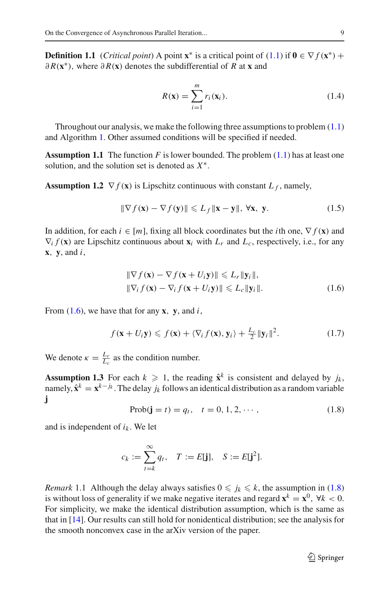**Definition 1.1** (*Critical point*) A point **x**<sup>\*</sup> is a critical point of [\(1.1\)](#page-1-0) if  $\mathbf{0} \in \nabla f(\mathbf{x}^*)$  + ∂ *R*(**x**∗), where ∂ *R*(**x**) denotes the subdifferential of *R* at **x** and

<span id="page-4-6"></span><span id="page-4-3"></span>
$$
R(\mathbf{x}) = \sum_{i=1}^{m} r_i(\mathbf{x}_i).
$$
 (1.4)

Throughout our analysis, we make the following three assumptions to problem [\(1.1\)](#page-1-0) and Algorithm [1.](#page-2-0) Other assumed conditions will be specified if needed.

**Assumption 1.1** The function  $F$  is lower bounded. The problem  $(1.1)$  has at least one solution, and the solution set is denoted as *X*∗.

<span id="page-4-5"></span>**Assumption 1.2**  $\nabla f(\mathbf{x})$  is Lipschitz continuous with constant  $L_f$ , namely,

<span id="page-4-7"></span>
$$
\|\nabla f(\mathbf{x}) - \nabla f(\mathbf{y})\| \le L_f \|\mathbf{x} - \mathbf{y}\|, \forall \mathbf{x}, \mathbf{y}.
$$
 (1.5)

In addition, for each  $i \in [m]$ , fixing all block coordinates but the *i*th one,  $\nabla f(\mathbf{x})$  and  $\nabla_i f(\mathbf{x})$  are Lipschitz continuous about  $\mathbf{x}_i$  with  $L_r$  and  $L_c$ , respectively, i.e., for any **x**, **y**, and *i*,

<span id="page-4-0"></span>
$$
\|\nabla f(\mathbf{x}) - \nabla f(\mathbf{x} + U_i \mathbf{y})\| \le L_r \|\mathbf{y}_i\|,
$$
  

$$
\|\nabla_i f(\mathbf{x}) - \nabla_i f(\mathbf{x} + U_i \mathbf{y})\| \le L_c \|\mathbf{y}_i\|.
$$
 (1.6)

From [\(1.6\)](#page-4-0), we have that for any **x**, **y**, and *i*,

<span id="page-4-2"></span>
$$
f(\mathbf{x} + U_i \mathbf{y}) \leqslant f(\mathbf{x}) + \langle \nabla_i f(\mathbf{x}), \mathbf{y}_i \rangle + \frac{L_c}{2} ||\mathbf{y}_i||^2.
$$
 (1.7)

We denote  $\kappa = \frac{L_r}{L_c}$  as the condition number.

**Assumption 1.3** For each  $k \ge 1$ , the reading  $\hat{\mathbf{x}}^k$  is consistent and delayed by  $j_k$ , namely,  $\hat{\mathbf{x}}^k = \mathbf{x}^{k-j_k}$ . The delay  $j_k$  follows an identical distribution as a random variable **j**

<span id="page-4-4"></span><span id="page-4-1"></span>
$$
Prob(j = t) = q_t, \quad t = 0, 1, 2, \cdots,
$$
\n(1.8)

and is independent of  $i_k$ . We let

$$
c_k := \sum_{t=k}^{\infty} q_t, \quad T := E[\mathbf{j}], \quad S := E[\mathbf{j}^2].
$$

*Remark* 1.1 Although the delay always satisfies  $0 \le j_k \le k$ , the assumption in [\(1.8\)](#page-4-1) is without loss of generality if we make negative iterates and regard  $\mathbf{x}^k = \mathbf{x}^0$ ,  $\forall k < 0$ . For simplicity, we make the identical distribution assumption, which is the same as that in [\[14\]](#page-36-13). Our results can still hold for nonidentical distribution; see the analysis for the smooth nonconvex case in the arXiv version of the paper.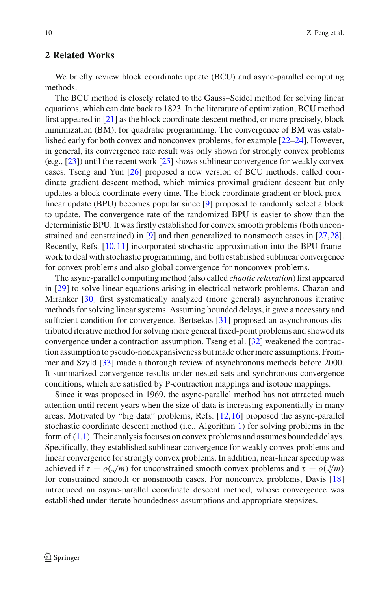# **2 Related Works**

We briefly review block coordinate update (BCU) and async-parallel computing methods.

The BCU method is closely related to the Gauss–Seidel method for solving linear equations, which can date back to 1823. In the literature of optimization, BCU method first appeared in [\[21](#page-37-5)] as the block coordinate descent method, or more precisely, block minimization (BM), for quadratic programming. The convergence of BM was established early for both convex and nonconvex problems, for example [\[22](#page-37-6)[–24](#page-37-7)]. However, in general, its convergence rate result was only shown for strongly convex problems (e.g., [\[23](#page-37-8)]) until the recent work [\[25](#page-37-9)] shows sublinear convergence for weakly convex cases. Tseng and Yun [\[26\]](#page-37-10) proposed a new version of BCU methods, called coordinate gradient descent method, which mimics proximal gradient descent but only updates a block coordinate every time. The block coordinate gradient or block proxlinear update (BPU) becomes popular since [\[9\]](#page-36-8) proposed to randomly select a block to update. The convergence rate of the randomized BPU is easier to show than the deterministic BPU. It was firstly established for convex smooth problems (both unconstrained and constrained) in [\[9\]](#page-36-8) and then generalized to nonsmooth cases in [\[27](#page-37-11)[,28](#page-37-12)]. Recently, Refs. [\[10](#page-36-9),[11\]](#page-36-10) incorporated stochastic approximation into the BPU framework to deal with stochastic programming, and both established sublinear convergence for convex problems and also global convergence for nonconvex problems.

The async-parallel computing method (also called *chaotic relaxation*) first appeared in [\[29\]](#page-37-13) to solve linear equations arising in electrical network problems. Chazan and Miranker [\[30](#page-37-14)] first systematically analyzed (more general) asynchronous iterative methods for solving linear systems. Assuming bounded delays, it gave a necessary and sufficient condition for convergence. Bertsekas [\[31\]](#page-37-15) proposed an asynchronous distributed iterative method for solving more general fixed-point problems and showed its convergence under a contraction assumption. Tseng et al. [\[32](#page-37-16)] weakened the contraction assumption to pseudo-nonexpansiveness but made other more assumptions. Frommer and Szyld [\[33](#page-37-17)] made a thorough review of asynchronous methods before 2000. It summarized convergence results under nested sets and synchronous convergence conditions, which are satisfied by P-contraction mappings and isotone mappings.

Since it was proposed in 1969, the async-parallel method has not attracted much attention until recent years when the size of data is increasing exponentially in many areas. Motivated by "big data" problems, Refs. [\[12,](#page-36-11)[16\]](#page-37-1) proposed the async-parallel stochastic coordinate descent method (i.e., Algorithm [1\)](#page-2-0) for solving problems in the form of [\(1.1\)](#page-1-0). Their analysis focuses on convex problems and assumes bounded delays. Specifically, they established sublinear convergence for weakly convex problems and linear convergence for strongly convex problems. In addition, near-linear speedup was achieved if  $\tau = o(\sqrt{m})$  for unconstrained smooth convex problems and  $\tau = o(\sqrt[4]{m})$ for constrained smooth or nonsmooth cases. For nonconvex problems, Davis [\[18\]](#page-37-3) introduced an async-parallel coordinate descent method, whose convergence was established under iterate boundedness assumptions and appropriate stepsizes.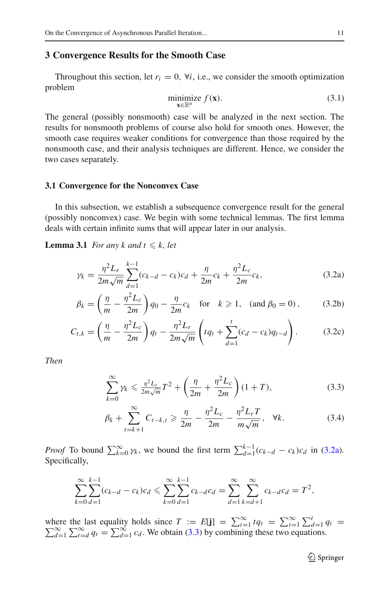### **3 Convergence Results for the Smooth Case**

Throughout this section, let  $r_i = 0$ ,  $\forall i$ , i.e., we consider the smooth optimization problem

<span id="page-6-4"></span><span id="page-6-0"></span>
$$
\underset{\mathbf{x} \in \mathbb{R}^n}{\text{minimize}} f(\mathbf{x}).\tag{3.1}
$$

The general (possibly nonsmooth) case will be analyzed in the next section. The results for nonsmooth problems of course also hold for smooth ones. However, the smooth case requires weaker conditions for convergence than those required by the nonsmooth case, and their analysis techniques are different. Hence, we consider the two cases separately.

## **3.1 Convergence for the Nonconvex Case**

In this subsection, we establish a subsequence convergence result for the general (possibly nonconvex) case. We begin with some technical lemmas. The first lemma deals with certain infinite sums that will appear later in our analysis.

<span id="page-6-5"></span>**Lemma 3.1** *For any k and t*  $\leq k$ *, let* 

<span id="page-6-3"></span>
$$
\gamma_k = \frac{\eta^2 L_r}{2m\sqrt{m}} \sum_{d=1}^{k-1} (c_{k-d} - c_k)c_d + \frac{\eta}{2m}c_k + \frac{\eta^2 L_c}{2m}c_k,
$$
\n(3.2a)

$$
\beta_k = \left(\frac{\eta}{m} - \frac{\eta^2 L_c}{2m}\right) q_0 - \frac{\eta}{2m} c_k \quad \text{for} \quad k \ge 1, \quad \text{(and } \beta_0 = 0), \tag{3.2b}
$$

$$
C_{t,k} = \left(\frac{\eta}{m} - \frac{\eta^2 L_c}{2m}\right) q_t - \frac{\eta^2 L_r}{2m\sqrt{m}} \left(tq_t + \sum_{d=1}^t (c_d - c_k) q_{t-d}\right).
$$
 (3.2c)

*Then*

$$
\sum_{k=0}^{\infty} \gamma_k \leq \frac{\eta^2 L_r}{2m\sqrt{m}} T^2 + \left(\frac{\eta}{2m} + \frac{\eta^2 L_c}{2m}\right) (1+T),
$$
\n(3.3)

$$
\beta_k + \sum_{t=k+1}^{\infty} C_{t-k,t} \ge \frac{\eta}{2m} - \frac{\eta^2 L_c}{2m} - \frac{\eta^2 L_r T}{m \sqrt{m}}, \quad \forall k.
$$
 (3.4)

*Proof* To bound  $\sum_{k=0}^{\infty} \gamma_k$ , we bound the first term  $\sum_{d=1}^{k-1} (c_{k-d} - c_k) c_d$  in [\(3.2a\)](#page-6-0). Specifically,

$$
\sum_{k=0}^{\infty} \sum_{d=1}^{k-1} (c_{k-d} - c_k) c_d \leqslant \sum_{k=0}^{\infty} \sum_{d=1}^{k-1} c_{k-d} c_d = \sum_{d=1}^{\infty} \sum_{k=d+1}^{\infty} c_{k-d} c_d = T^2,
$$

where the last equality holds since  $T := E[\mathbf{j}] = \sum_{t=1}^{\infty} t q_t = \sum_{t=1}^{\infty} \sum_{d=1}^{t} q_t = \sum_{t=d}^{\infty} q_t = \sum_{d=1}^{\infty} c_d$ . We obtain [\(3.3\)](#page-6-1) by combining these two equations.

<span id="page-6-2"></span><span id="page-6-1"></span><sup>2</sup> Springer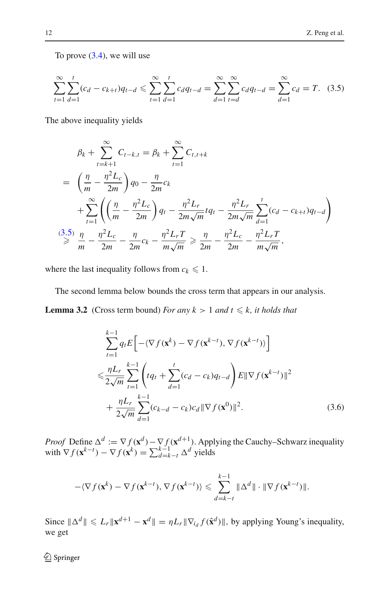To prove  $(3.4)$ , we will use

<span id="page-7-0"></span>
$$
\sum_{t=1}^{\infty} \sum_{d=1}^{t} (c_d - c_{k+t}) q_{t-d} \leq \sum_{t=1}^{\infty} \sum_{d=1}^{t} c_d q_{t-d} = \sum_{d=1}^{\infty} \sum_{t=d}^{\infty} c_d q_{t-d} = \sum_{d=1}^{\infty} c_d = T.
$$
 (3.5)

The above inequality yields

$$
\beta_{k} + \sum_{t=k+1}^{\infty} C_{t-k,t} = \beta_{k} + \sum_{t=1}^{\infty} C_{t,t+k}
$$
\n
$$
= \left(\frac{\eta}{m} - \frac{\eta^{2}L_{c}}{2m}\right)q_{0} - \frac{\eta}{2m}c_{k}
$$
\n
$$
+ \sum_{t=1}^{\infty} \left(\left(\frac{\eta}{m} - \frac{\eta^{2}L_{c}}{2m}\right)q_{t} - \frac{\eta^{2}L_{r}}{2m\sqrt{m}}tq_{t} - \frac{\eta^{2}L_{r}}{2m\sqrt{m}}\sum_{d=1}^{t} (c_{d} - c_{k+t})q_{t-d}\right)
$$
\n
$$
\stackrel{(3.5)}{\geq} \frac{\eta}{m} - \frac{\eta^{2}L_{c}}{2m} - \frac{\eta}{2m}c_{k} - \frac{\eta^{2}L_{r}T}{m\sqrt{m}} \geq \frac{\eta}{2m} - \frac{\eta^{2}L_{c}}{2m} - \frac{\eta^{2}L_{r}T}{m\sqrt{m}},
$$

where the last inequality follows from  $c_k \leq 1$ .

The second lemma below bounds the cross term that appears in our analysis. **Lemma 3.2** (Cross term bound) *For any*  $k > 1$  *and*  $t \leq k$ *, it holds that* 

<span id="page-7-2"></span><span id="page-7-1"></span>
$$
\sum_{t=1}^{k-1} q_t E \left[ -\langle \nabla f(\mathbf{x}^k) - \nabla f(\mathbf{x}^{k-t}), \nabla f(\mathbf{x}^{k-t}) \rangle \right]
$$
  

$$
\leq \frac{\eta L_r}{2\sqrt{m}} \sum_{t=1}^{k-1} \left( t q_t + \sum_{d=1}^t (c_d - c_k) q_{t-d} \right) E ||\nabla f(\mathbf{x}^{k-t})||^2
$$
  

$$
+ \frac{\eta L_r}{2\sqrt{m}} \sum_{d=1}^{k-1} (c_{k-d} - c_k) c_d ||\nabla f(\mathbf{x}^0)||^2.
$$
 (3.6)

*Proof* Define  $\Delta^d := \nabla f(\mathbf{x}^d) - \nabla f(\mathbf{x}^{d+1})$ . Applying the Cauchy–Schwarz inequality with  $\nabla f(\mathbf{x}^{k-t}) - \nabla f(\mathbf{x}^k) = \sum_{d=k-t}^{k-1} \Delta^d$  yields

$$
-\langle \nabla f(\mathbf{x}^k) - \nabla f(\mathbf{x}^{k-t}), \nabla f(\mathbf{x}^{k-t}) \rangle \leq \sum_{d=k-t}^{k-1} \|\Delta^d\| \cdot \|\nabla f(\mathbf{x}^{k-t})\|.
$$

Since  $\|\Delta^d\| \le L_r \|\mathbf{x}^{d+1} - \mathbf{x}^d\| = \eta L_r \|\nabla_{i_d} f(\hat{\mathbf{x}}^d)\|$ , by applying Young's inequality, we get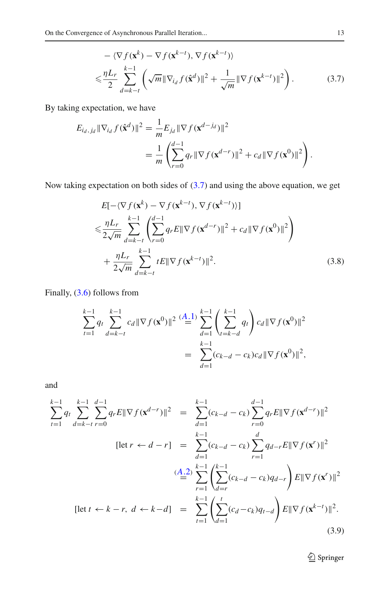<span id="page-8-0"></span>
$$
-\langle \nabla f(\mathbf{x}^{k}) - \nabla f(\mathbf{x}^{k-t}), \nabla f(\mathbf{x}^{k-t}) \rangle
$$
  

$$
\leq \frac{\eta L_r}{2} \sum_{d=k-t}^{k-1} \left( \sqrt{m} \|\nabla_{i_d} f(\hat{\mathbf{x}}^d)\|^2 + \frac{1}{\sqrt{m}} \|\nabla f(\mathbf{x}^{k-t})\|^2 \right).
$$
 (3.7)

By taking expectation, we have

$$
E_{i_d, j_d} \|\nabla_{i_d} f(\hat{\mathbf{x}}^d)\|^2 = \frac{1}{m} E_{j_d} \|\nabla f(\mathbf{x}^{d-j_d})\|^2
$$
  
= 
$$
\frac{1}{m} \left( \sum_{r=0}^{d-1} q_r \|\nabla f(\mathbf{x}^{d-r})\|^2 + c_d \|\nabla f(\mathbf{x}^0)\|^2 \right).
$$

Now taking expectation on both sides of [\(3.7\)](#page-8-0) and using the above equation, we get

<span id="page-8-1"></span>
$$
E[-\langle \nabla f(\mathbf{x}^{k}) - \nabla f(\mathbf{x}^{k-t}), \nabla f(\mathbf{x}^{k-t}) \rangle] \n\leq \frac{\eta L_r}{2\sqrt{m}} \sum_{d=k-t}^{k-1} \left( \sum_{r=0}^{d-1} q_r E \|\nabla f(\mathbf{x}^{d-r})\|^2 + c_d \|\nabla f(\mathbf{x}^{0})\|^2 \right) \n+ \frac{\eta L_r}{2\sqrt{m}} \sum_{d=k-t}^{k-1} tE \|\nabla f(\mathbf{x}^{k-t})\|^2.
$$
\n(3.8)

Finally, [\(3.6\)](#page-7-1) follows from

$$
\sum_{t=1}^{k-1} q_t \sum_{d=k-t}^{k-1} c_d \|\nabla f(\mathbf{x}^0)\|^2 \stackrel{(A-1)}{=} \sum_{d=1}^{k-1} \left(\sum_{t=k-d}^{k-1} q_t\right) c_d \|\nabla f(\mathbf{x}^0)\|^2
$$

$$
= \sum_{d=1}^{k-1} (c_{k-d} - c_k) c_d \|\nabla f(\mathbf{x}^0)\|^2,
$$

and

<span id="page-8-2"></span>
$$
\sum_{t=1}^{k-1} q_t \sum_{d=k-t}^{k-1} \sum_{r=0}^{d-1} q_r E \|\nabla f(\mathbf{x}^{d-r})\|^2 = \sum_{d=1}^{k-1} (c_{k-d} - c_k) \sum_{r=0}^{d-1} q_r E \|\nabla f(\mathbf{x}^{d-r})\|^2
$$
  
\n[let  $r \leftarrow d-r$ ] =  $\sum_{d=1}^{k-1} (c_{k-d} - c_k) \sum_{r=1}^d q_{d-r} E \|\nabla f(\mathbf{x}^r)\|^2$   
\n( $\frac{A.2}{\equiv} \sum_{r=1}^{k-1} \left( \sum_{d=r}^{k-1} (c_{k-d} - c_k) q_{d-r} \right) E \|\nabla f(\mathbf{x}^r)\|^2$   
\n[let  $t \leftarrow k-r$ ,  $d \leftarrow k-d$ ] =  $\sum_{t=1}^{k-1} \left( \sum_{d=1}^t (c_d - c_k) q_{t-d} \right) E \|\nabla f(\mathbf{x}^{k-t})\|^2$ . (3.9)

 $\underline{\raisebox{.3ex}{\Leftrightarrow}}$  Springer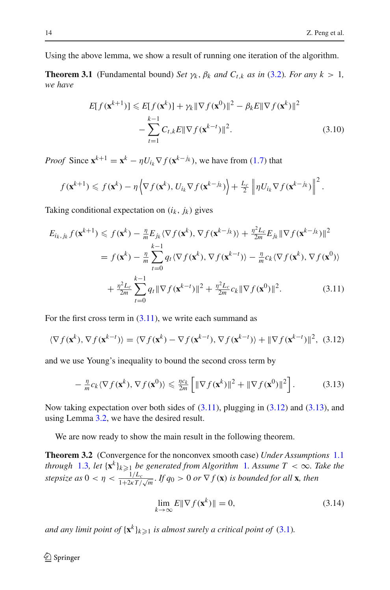Using the above lemma, we show a result of running one iteration of the algorithm.

**Theorem 3.1** (Fundamental bound) *Set*  $\gamma_k$ ,  $\beta_k$  *and*  $C_{t,k}$  *as in* [\(3.2\)](#page-6-3)*. For any*  $k > 1$ *, we have*

<span id="page-9-3"></span>
$$
E[f(\mathbf{x}^{k+1})] \leq E[f(\mathbf{x}^k)] + \gamma_k \|\nabla f(\mathbf{x}^0)\|^2 - \beta_k E \|\nabla f(\mathbf{x}^k)\|^2
$$

$$
- \sum_{t=1}^{k-1} C_{t,k} E \|\nabla f(\mathbf{x}^{k-t})\|^2. \tag{3.10}
$$

*Proof* Since  $\mathbf{x}^{k+1} = \mathbf{x}^k - \eta U_{i_k} \nabla f(\mathbf{x}^{k-j_k})$ , we have from [\(1.7\)](#page-4-2) that

$$
f(\mathbf{x}^{k+1}) \leq f(\mathbf{x}^k) - \eta \left\langle \nabla f(\mathbf{x}^k), U_{i_k} \nabla f(\mathbf{x}^{k-j_k}) \right\rangle + \frac{L_c}{2} \left\| \eta U_{i_k} \nabla f(\mathbf{x}^{k-j_k}) \right\|^2.
$$

Taking conditional expectation on  $(i_k, j_k)$  gives

$$
E_{i_k,j_k} f(\mathbf{x}^{k+1}) \leq f(\mathbf{x}^k) - \frac{\eta}{m} E_{j_k} \langle \nabla f(\mathbf{x}^k), \nabla f(\mathbf{x}^{k-j_k}) \rangle + \frac{\eta^2 L_c}{2m} E_{j_k} \|\nabla f(\mathbf{x}^{k-j_k})\|^2
$$
  
=  $f(\mathbf{x}^k) - \frac{\eta}{m} \sum_{t=0}^{k-1} q_t \langle \nabla f(\mathbf{x}^k), \nabla f(\mathbf{x}^{k-j}) \rangle - \frac{\eta}{m} c_k \langle \nabla f(\mathbf{x}^k), \nabla f(\mathbf{x}^0) \rangle$   
+  $\frac{\eta^2 L_c}{2m} \sum_{t=0}^{k-1} q_t \|\nabla f(\mathbf{x}^{k-t})\|^2 + \frac{\eta^2 L_c}{2m} c_k \|\nabla f(\mathbf{x}^0)\|^2.$  (3.11)

For the first cross term in  $(3.11)$ , we write each summand as

<span id="page-9-1"></span>
$$
\langle \nabla f(\mathbf{x}^k), \nabla f(\mathbf{x}^{k-t}) \rangle = \langle \nabla f(\mathbf{x}^k) - \nabla f(\mathbf{x}^{k-t}), \nabla f(\mathbf{x}^{k-t}) \rangle + ||\nabla f(\mathbf{x}^{k-t})||^2, (3.12)
$$

and we use Young's inequality to bound the second cross term by

<span id="page-9-2"></span><span id="page-9-0"></span>
$$
-\frac{\eta}{m}c_k\langle \nabla f(\mathbf{x}^k), \nabla f(\mathbf{x}^0)\rangle \leq \frac{\eta c_k}{2m}\left[\|\nabla f(\mathbf{x}^k)\|^2 + \|\nabla f(\mathbf{x}^0)\|^2\right].
$$
 (3.13)

Now taking expectation over both sides of  $(3.11)$ , plugging in  $(3.12)$  and  $(3.13)$ , and using Lemma [3.2,](#page-7-2) we have the desired result.

<span id="page-9-5"></span>We are now ready to show the main result in the following theorem.

**Theorem 3.2** (Convergence for the nonconvex smooth case) *Under Assumptions* [1.1](#page-4-3) *through* [1.3](#page-4-4), let  $\{x^k\}_{k\geqslant 1}$  $\{x^k\}_{k\geqslant 1}$  $\{x^k\}_{k\geqslant 1}$  be generated from Algorithm 1. Assume  $T < \infty$ . Take the *stepsize as*  $0 < \eta < \frac{1/L_c}{1 + 2\epsilon T}$  $\frac{1/L_c}{1+2\kappa T/\sqrt{m}}$ . If  $q_0 > 0$  or  $\nabla f(\mathbf{x})$  is bounded for all **x**, then

<span id="page-9-4"></span>
$$
\lim_{k \to \infty} E \|\nabla f(\mathbf{x}^k)\| = 0,\tag{3.14}
$$

*and any limit point of*  $\{x^k\}_{k\geqslant 1}$  *is almost surely a critical point of* [\(3.1\)](#page-6-4).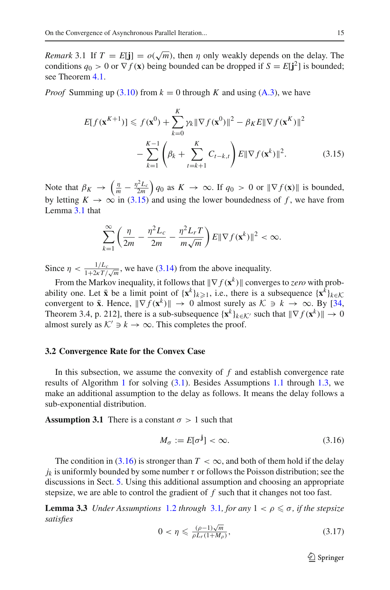*Remark* 3.1 If  $T = E[j] = o(\sqrt{m})$ , then  $\eta$  only weakly depends on the delay. The conditions  $q_0 > 0$  or  $\nabla f(\mathbf{x})$  being bounded can be dropped if  $S = E[\mathbf{j}^2]$  is bounded; see Theorem [4.1.](#page-18-0)

*Proof* Summing up  $(3.10)$  from  $k = 0$  through K and using  $(A.3)$ , we have

$$
E[f(\mathbf{x}^{K+1})] \leq f(\mathbf{x}^{0}) + \sum_{k=0}^{K} \gamma_{k} \|\nabla f(\mathbf{x}^{0})\|^{2} - \beta_{K} E \|\nabla f(\mathbf{x}^{K})\|^{2}
$$

$$
- \sum_{k=1}^{K-1} \left(\beta_{k} + \sum_{t=k+1}^{K} C_{t-k,t} \right) E \|\nabla f(\mathbf{x}^{k})\|^{2}.
$$
(3.15)

Note that  $\beta_K \to \left(\frac{\eta}{m} - \frac{\eta^2 L_c}{2m}\right) q_0$  as  $K \to \infty$ . If  $q_0 > 0$  or  $\|\nabla f(\mathbf{x})\|$  is bounded, by letting  $K \to \infty$  in [\(3.15\)](#page-10-0) and using the lower boundedness of f, we have from Lemma [3.1](#page-6-5) that

<span id="page-10-0"></span>
$$
\sum_{k=1}^{\infty} \left( \frac{\eta}{2m} - \frac{\eta^2 L_c}{2m} - \frac{\eta^2 L_r T}{m \sqrt{m}} \right) E ||\nabla f(\mathbf{x}^k)||^2 < \infty.
$$

Since  $\eta < \frac{1/L_c}{1 + 2 \kappa T}$  $\frac{1/L_c}{1+2\kappa T/\sqrt{m}}$ , we have [\(3.14\)](#page-9-4) from the above inequality.

From the Markov inequality, it follows that  $\|\nabla f(\mathbf{x}^k)\|$  converges to *zero* with probability one. Let  $\bar{\mathbf{x}}$  be a limit point of  $\{\mathbf{x}^k\}_{k\geqslant1}$ , i.e., there is a subsequence  $\{\mathbf{x}^k\}_{k\in\mathcal{K}}$ convergent to  $\bar{x}$ . Hence,  $\|\nabla f(\mathbf{x}^k)\| \to 0$  almost surely as  $\mathcal{K} \ni k \to \infty$ . By [\[34,](#page-37-18) Theorem 3.4, p. 212], there is a sub-subsequence  $\{x^k\}_{k \in \mathcal{K}}$  such that  $\|\nabla f(x^k)\| \to 0$ almost surely as  $K' \ni k \to \infty$ . This completes the proof.

#### **3.2 Convergence Rate for the Convex Case**

In this subsection, we assume the convexity of *f* and establish convergence rate results of Algorithm [1](#page-2-0) for solving [\(3.1\)](#page-6-4). Besides Assumptions [1.1](#page-4-3) through [1.3,](#page-4-4) we make an additional assumption to the delay as follows. It means the delay follows a sub-exponential distribution.

<span id="page-10-2"></span>**Assumption 3.1** There is a constant  $\sigma > 1$  such that

<span id="page-10-1"></span>
$$
M_{\sigma} := E[\sigma^{\mathbf{j}}] < \infty. \tag{3.16}
$$

The condition in [\(3.16\)](#page-10-1) is stronger than  $T < \infty$ , and both of them hold if the delay  $j_k$  is uniformly bounded by some number  $\tau$  or follows the Poisson distribution; see the discussions in Sect. [5.](#page-27-0) Using this additional assumption and choosing an appropriate stepsize, we are able to control the gradient of *f* such that it changes not too fast.

<span id="page-10-3"></span>**Lemma 3.3** *Under Assumptions* [1.2](#page-4-5) *through* [3.1](#page-10-2), *for any*  $1 < \rho \leq \sigma$ , *if the stepsize satisfies*

<span id="page-10-4"></span>
$$
0 < \eta \leqslant \frac{(\rho - 1)\sqrt{m}}{\rho L_r (1 + M_\rho)},\tag{3.17}
$$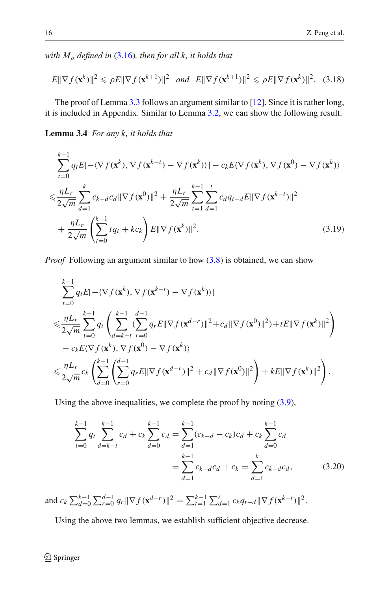*with M*<sup>ρ</sup> *defined in* [\(3.16\)](#page-10-1)*, then for all k, it holds that*

<span id="page-11-1"></span>
$$
E\|\nabla f(\mathbf{x}^k)\|^2 \leqslant \rho E\|\nabla f(\mathbf{x}^{k+1})\|^2 \quad \text{and} \quad E\|\nabla f(\mathbf{x}^{k+1})\|^2 \leqslant \rho E\|\nabla f(\mathbf{x}^k)\|^2. \quad (3.18)
$$

The proof of Lemma [3.3](#page-10-3) follows an argument similar to [\[12\]](#page-36-11). Since it is rather long, it is included in Appendix. Similar to Lemma [3.2,](#page-7-2) we can show the following result.

**Lemma 3.4** *For any k, it holds that*

$$
\sum_{t=0}^{k-1} q_t E[-\langle \nabla f(\mathbf{x}^k), \nabla f(\mathbf{x}^{k-t}) - \nabla f(\mathbf{x}^k) \rangle] - c_k E \langle \nabla f(\mathbf{x}^k), \nabla f(\mathbf{x}^0) - \nabla f(\mathbf{x}^k) \rangle
$$
  

$$
\leq \frac{\eta L_r}{2\sqrt{m}} \sum_{d=1}^k c_{k-d} c_d \|\nabla f(\mathbf{x}^0)\|^2 + \frac{\eta L_r}{2\sqrt{m}} \sum_{t=1}^{k-1} \sum_{d=1}^t c_d q_{t-d} E \|\nabla f(\mathbf{x}^{k-t})\|^2
$$
  

$$
+ \frac{\eta L_r}{2\sqrt{m}} \left( \sum_{t=0}^{k-1} t q_t + k c_k \right) E \|\nabla f(\mathbf{x}^k)\|^2.
$$
 (3.19)

*Proof* Following an argument similar to how  $(3.8)$  is obtained, we can show

<span id="page-11-0"></span>
$$
\sum_{t=0}^{k-1} q_t E[-\langle \nabla f(\mathbf{x}^k), \nabla f(\mathbf{x}^{k-t}) - \nabla f(\mathbf{x}^k) \rangle] \n\leq \frac{\eta L_r}{2\sqrt{m}} \sum_{t=0}^{k-1} q_t \left( \sum_{d=k-t}^{k-1} (\sum_{r=0}^{d-1} q_r E \|\nabla f(\mathbf{x}^{d-r})\|^2 + c_d \|\nabla f(\mathbf{x}^0)\|^2) + tE \|\nabla f(\mathbf{x}^k)\|^2 \right) \n- c_k E \langle \nabla f(\mathbf{x}^k), \nabla f(\mathbf{x}^0) - \nabla f(\mathbf{x}^k) \rangle \n\leq \frac{\eta L_r}{2\sqrt{m}} c_k \left( \sum_{d=0}^{k-1} \left( \sum_{r=0}^{d-1} q_r E \|\nabla f(\mathbf{x}^{d-r})\|^2 + c_d \|\nabla f(\mathbf{x}^0)\|^2 \right) + kE \|\nabla f(\mathbf{x}^k)\|^2 \right).
$$

Using the above inequalities, we complete the proof by noting [\(3.9\)](#page-8-2),

$$
\sum_{t=0}^{k-1} q_t \sum_{d=k-t}^{k-1} c_d + c_k \sum_{d=0}^{k-1} c_d = \sum_{d=1}^{k-1} (c_{k-d} - c_k) c_d + c_k \sum_{d=0}^{k-1} c_d
$$

$$
= \sum_{d=1}^{k-1} c_{k-d} c_d + c_k = \sum_{d=1}^{k} c_{k-d} c_d, \qquad (3.20)
$$

and  $c_k \sum_{d=0}^{k-1} \sum_{r=0}^{d-1} q_r \|\nabla f(\mathbf{x}^{d-r})\|^2 = \sum_{t=1}^{k-1} \sum_{d=1}^t c_k q_{t-d} \|\nabla f(\mathbf{x}^{k-t})\|^2$ .

<span id="page-11-2"></span>Using the above two lemmas, we establish sufficient objective decrease.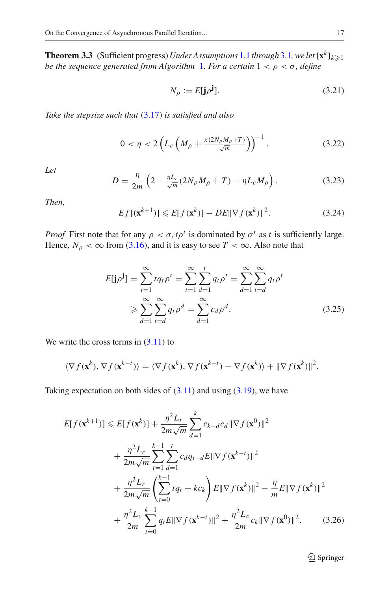**Theorem 3.3** (Sufficient progress) *Under Assumptions* [1.1](#page-4-3) *through* [3.1](#page-10-2)*, we let*  $\{x^k\}_{k\geqslant 1}$ *be the sequence generated from Algorithm [1](#page-2-0). For a certain*  $1 < \rho < \sigma$ , *define* 

$$
N_{\rho} := E[\mathbf{j}\rho^{\mathbf{j}}].\tag{3.21}
$$

*Take the stepsize such that* [\(3.17\)](#page-10-4) *is satisfied and also*

$$
0 < \eta < 2\left(L_c \left(M_\rho + \frac{\kappa (2N_\rho M_\rho + T)}{\sqrt{m}}\right)\right)^{-1}.\tag{3.22}
$$

*Let*

<span id="page-12-2"></span>
$$
D = \frac{\eta}{2m} \left( 2 - \frac{\eta L_r}{\sqrt{m}} (2N_\rho M_\rho + T) - \eta L_c M_\rho \right). \tag{3.23}
$$

*Then,*

<span id="page-12-1"></span>
$$
Ef[(\mathbf{x}^{k+1})] \leqslant E[f(\mathbf{x}^k)] - DE\|\nabla f(\mathbf{x}^k)\|^2. \tag{3.24}
$$

*Proof* First note that for any  $\rho < \sigma$ ,  $t\rho^t$  is dominated by  $\sigma^t$  as t is sufficiently large. Hence,  $N_{\rho} < \infty$  from [\(3.16\)](#page-10-1), and it is easy to see  $T < \infty$ . Also note that

<span id="page-12-0"></span>
$$
E[\mathbf{j}\rho^{\mathbf{j}}] = \sum_{t=1}^{\infty} t q_t \rho^t = \sum_{t=1}^{\infty} \sum_{d=1}^t q_t \rho^t = \sum_{d=1}^{\infty} \sum_{t=d}^{\infty} q_t \rho^t
$$
  
\n
$$
\geqslant \sum_{d=1}^{\infty} \sum_{t=d}^{\infty} q_t \rho^d = \sum_{d=1}^{\infty} c_d \rho^d.
$$
 (3.25)

We write the cross terms in  $(3.11)$  to

$$
\langle \nabla f(\mathbf{x}^k), \nabla f(\mathbf{x}^{k-t}) \rangle = \langle \nabla f(\mathbf{x}^k), \nabla f(\mathbf{x}^{k-t}) - \nabla f(\mathbf{x}^k) \rangle + ||\nabla f(\mathbf{x}^k)||^2.
$$

Taking expectation on both sides of  $(3.11)$  and using  $(3.19)$ , we have

$$
E[f(\mathbf{x}^{k+1})] \leq E[f(\mathbf{x}^{k})] + \frac{\eta^2 L_r}{2m\sqrt{m}} \sum_{d=1}^k c_{k-d} c_d ||\nabla f(\mathbf{x}^0)||^2
$$
  
+ 
$$
\frac{\eta^2 L_r}{2m\sqrt{m}} \sum_{t=1}^{k-1} \sum_{d=1}^t c_d q_{t-d} E ||\nabla f(\mathbf{x}^{k-t})||^2
$$
  
+ 
$$
\frac{\eta^2 L_r}{2m\sqrt{m}} \left( \sum_{t=0}^{k-1} t q_t + k c_k \right) E ||\nabla f(\mathbf{x}^k)||^2 - \frac{\eta}{m} E ||\nabla f(\mathbf{x}^k)||^2
$$
  
+ 
$$
\frac{\eta^2 L_c}{2m} \sum_{t=0}^{k-1} q_t E ||\nabla f(\mathbf{x}^{k-t})||^2 + \frac{\eta^2 L_c}{2m} c_k ||\nabla f(\mathbf{x}^0)||^2. \tag{3.26}
$$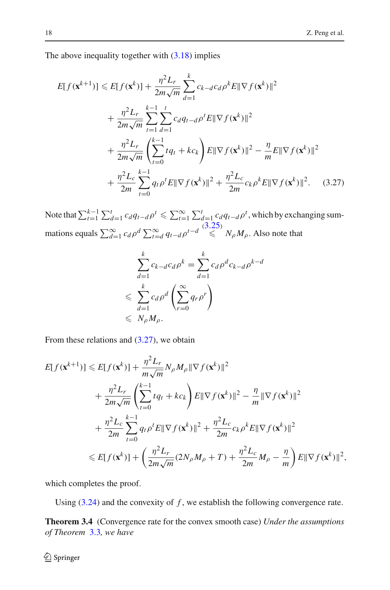The above inequality together with  $(3.18)$  implies

$$
E[f(\mathbf{x}^{k+1})] \leq E[f(\mathbf{x}^{k})] + \frac{\eta^2 L_r}{2m\sqrt{m}} \sum_{d=1}^k c_{k-d}c_d \rho^k E ||\nabla f(\mathbf{x}^k)||^2
$$
  
+ 
$$
\frac{\eta^2 L_r}{2m\sqrt{m}} \sum_{t=1}^{k-1} \sum_{d=1}^t c_d q_{t-d} \rho^t E ||\nabla f(\mathbf{x}^k)||^2
$$
  
+ 
$$
\frac{\eta^2 L_r}{2m\sqrt{m}} \left( \sum_{t=0}^{k-1} t q_t + k c_k \right) E ||\nabla f(\mathbf{x}^k)||^2 - \frac{\eta}{m} E ||\nabla f(\mathbf{x}^k)||^2
$$
  
+ 
$$
\frac{\eta^2 L_c}{2m} \sum_{t=0}^{k-1} q_t \rho^t E ||\nabla f(\mathbf{x}^k)||^2 + \frac{\eta^2 L_c}{2m} c_k \rho^k E ||\nabla f(\mathbf{x}^k)||^2. \quad (3.27)
$$

Note that  $\sum_{t=1}^{k-1} \sum_{d=1}^{t} c_d q_t - d\rho^t \le \sum_{t=1}^{\infty} \sum_{d=1}^{t} c_d q_t - d\rho^t$ , which by exchanging summations equals  $\sum_{d=1}^{\infty} c_d \rho^d \sum_{t=d}^{\infty} q_{t-d} \rho^{t-d} \leq \frac{(3.25)}{\epsilon} N_\rho M_\rho$  $\sum_{d=1}^{\infty} c_d \rho^d \sum_{t=d}^{\infty} q_{t-d} \rho^{t-d} \leq \frac{(3.25)}{\epsilon} N_\rho M_\rho$  $\sum_{d=1}^{\infty} c_d \rho^d \sum_{t=d}^{\infty} q_{t-d} \rho^{t-d} \leq \frac{(3.25)}{\epsilon} N_\rho M_\rho$ . Also note that

<span id="page-13-0"></span>
$$
\sum_{d=1}^{k} c_{k-d} c_d \rho^k = \sum_{d=1}^{k} c_d \rho^d c_{k-d} \rho^{k-d}
$$
  

$$
\leqslant \sum_{d=1}^{k} c_d \rho^d \left( \sum_{r=0}^{\infty} q_r \rho^r \right)
$$
  

$$
\leqslant N_{\rho} M_{\rho}.
$$

From these relations and  $(3.27)$ , we obtain

$$
E[f(\mathbf{x}^{k+1})] \leq E[f(\mathbf{x}^{k})] + \frac{\eta^2 L_r}{m\sqrt{m}} N_{\rho} M_{\rho} \|\nabla f(\mathbf{x}^{k})\|^2 + \frac{\eta^2 L_r}{2m\sqrt{m}} \left(\sum_{t=0}^{k-1} t q_t + k c_k\right) E \|\nabla f(\mathbf{x}^{k})\|^2 - \frac{\eta}{m} \|\nabla f(\mathbf{x}^{k})\|^2 + \frac{\eta^2 L_c}{2m} \sum_{t=0}^{k-1} q_t \rho^t E \|\nabla f(\mathbf{x}^{k})\|^2 + \frac{\eta^2 L_c}{2m} c_k \rho^k E \|\nabla f(\mathbf{x}^{k})\|^2 \leq E[f(\mathbf{x}^{k})] + \left(\frac{\eta^2 L_r}{2m\sqrt{m}} (2N_{\rho} M_{\rho} + T) + \frac{\eta^2 L_c}{2m} M_{\rho} - \frac{\eta}{m}\right) E \|\nabla f(\mathbf{x}^{k})\|^2,
$$

which completes the proof.

<span id="page-13-1"></span>Using  $(3.24)$  and the convexity of  $f$ , we establish the following convergence rate.

**Theorem 3.4** (Convergence rate for the convex smooth case) *Under the assumptions of Theorem* [3.3](#page-11-2)*, we have*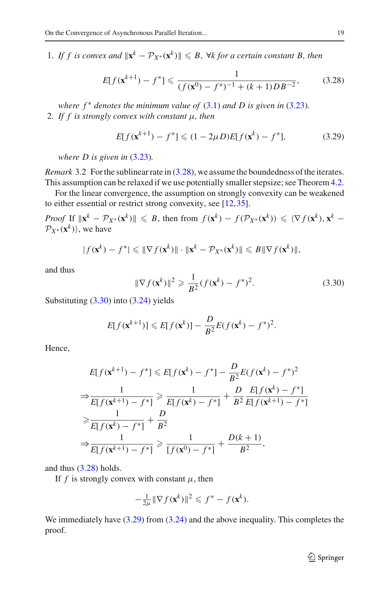1. If f is convex and  $\|\mathbf{x}^k - \mathcal{P}_{X^*}(\mathbf{x}^k)\| \leq B$ ,  $\forall k$  for a certain constant B, then

$$
E[f(\mathbf{x}^{k+1}) - f^*] \le \frac{1}{(f(\mathbf{x}^0) - f^*)^{-1} + (k+1)DB^{-2}},\tag{3.28}
$$

*where*  $f^*$  *denotes the minimum value of*  $(3.1)$  *and D is given in*  $(3.23)$ *.* 2. *If f is strongly convex with constant* μ*, then*

<span id="page-14-2"></span><span id="page-14-0"></span>
$$
E[f(\mathbf{x}^{k+1}) - f^*] \le (1 - 2\mu D)E[f(\mathbf{x}^k) - f^*],\tag{3.29}
$$

*where D is given in* [\(3.23\)](#page-12-2)*.*

*Remark* 3.2 For the sublinear rate in [\(3.28\)](#page-14-0), we assume the boundedness of the iterates. This assumption can be relaxed if we use potentially smaller stepsize; see Theorem [4.2.](#page-23-0)

For the linear convergence, the assumption on strongly convexity can be weakened to either essential or restrict strong convexity, see [\[12](#page-36-11),[35\]](#page-37-19).

*Proof* If  $\|\mathbf{x}^k - \mathcal{P}_{X^*}(\mathbf{x}^k)\| \leq B$ , then from  $f(\mathbf{x}^k) - f(\mathcal{P}_{X^*}(\mathbf{x}^k)) \leq \langle \nabla f(\mathbf{x}^k), \mathbf{x}^k - \mathcal{P}_{X^*}(\mathbf{x}^k)\rangle$  $\mathcal{P}_{X^*}(\mathbf{x}^k)$ , we have

$$
|f(\mathbf{x}^k) - f^*| \leq \|\nabla f(\mathbf{x}^k)\| \cdot \|\mathbf{x}^k - \mathcal{P}_{X^*}(\mathbf{x}^k)\| \leq B \|\nabla f(\mathbf{x}^k)\|,
$$

and thus

<span id="page-14-1"></span>
$$
\|\nabla f(\mathbf{x}^k)\|^2 \geq \frac{1}{B^2} (f(\mathbf{x}^k) - f^*)^2. \tag{3.30}
$$

Substituting [\(3.30\)](#page-14-1) into [\(3.24\)](#page-12-1) yields

$$
E[f(\mathbf{x}^{k+1})] \leq E[f(\mathbf{x}^k)] - \frac{D}{B^2}E(f(\mathbf{x}^k) - f^*)^2.
$$

Hence,

$$
E[f(\mathbf{x}^{k+1}) - f^*] \le E[f(\mathbf{x}^k) - f^*] - \frac{D}{B^2}E(f(\mathbf{x}^k) - f^*)^2
$$
  
\n
$$
\Rightarrow \frac{1}{E[f(\mathbf{x}^{k+1}) - f^*]} \ge \frac{1}{E[f(\mathbf{x}^k) - f^*]} + \frac{D}{B^2}\frac{E[f(\mathbf{x}^k) - f^*]}{E[f(\mathbf{x}^{k+1}) - f^*]}
$$
  
\n
$$
\ge \frac{1}{E[f(\mathbf{x}^k) - f^*]} + \frac{D}{B^2}
$$
  
\n
$$
\Rightarrow \frac{1}{E[f(\mathbf{x}^{k+1}) - f^*]} \ge \frac{1}{[f(\mathbf{x}^0) - f^*]} + \frac{D(k+1)}{B^2},
$$

and thus [\(3.28\)](#page-14-0) holds.

If  $f$  is strongly convex with constant  $\mu$ , then

$$
-\frac{1}{2\mu} \|\nabla f(\mathbf{x}^k)\|^2 \leqslant f^* - f(\mathbf{x}^k).
$$

We immediately have  $(3.29)$  from  $(3.24)$  and the above inequality. This completes the proof.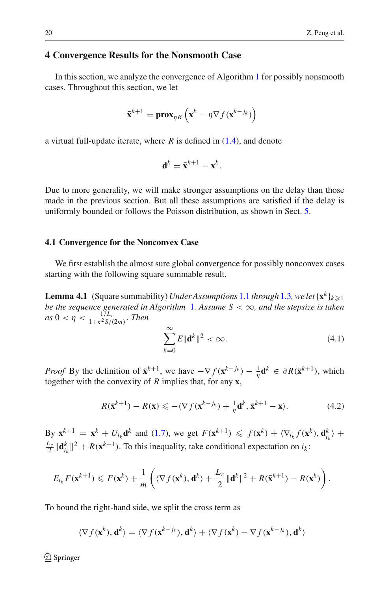## **4 Convergence Results for the Nonsmooth Case**

In this section, we analyze the convergence of Algorithm [1](#page-2-0) for possibly nonsmooth cases. Throughout this section, we let

$$
\bar{\mathbf{x}}^{k+1} = \mathbf{prox}_{\eta R} \left( \mathbf{x}^k - \eta \nabla f(\mathbf{x}^{k-j_k}) \right)
$$

a virtual full-update iterate, where *R* is defined in [\(1.4\)](#page-4-6), and denote

$$
\mathbf{d}^k = \bar{\mathbf{x}}^{k+1} - \mathbf{x}^k.
$$

Due to more generality, we will make stronger assumptions on the delay than those made in the previous section. But all these assumptions are satisfied if the delay is uniformly bounded or follows the Poisson distribution, as shown in Sect. [5.](#page-27-0)

#### **4.1 Convergence for the Nonconvex Case**

<span id="page-15-2"></span>We first establish the almost sure global convergence for possibly nonconvex cases starting with the following square summable result.

**Lemma 4.1** (Square summability) *Under Assumptions* [1.1](#page-4-3) *through* [1.3](#page-4-4)*, we let*  $\{x^k\}_{k\geqslant 1}$ *be the sequence generated in Algorithm* [1](#page-2-0)*. Assume S* < ∞*, and the stepsize is taken*  $as\ 0 < \eta < \frac{1/L_c}{1 + \nu^2 \frac{S}{L}}$  $\frac{1/L_c}{1+\kappa^2 S/(2m)}$ . *Then* 

<span id="page-15-1"></span>
$$
\sum_{k=0}^{\infty} E \|\mathbf{d}^k\|^2 < \infty. \tag{4.1}
$$

*Proof* By the definition of  $\bar{\mathbf{x}}^{k+1}$ , we have  $-\nabla f(\mathbf{x}^{k-k}) - \frac{1}{\eta} \mathbf{d}^k \in \partial R(\bar{\mathbf{x}}^{k+1})$ , which together with the convexity of *R* implies that, for any **x**,

<span id="page-15-0"></span>
$$
R(\bar{\mathbf{x}}^{k+1}) - R(\mathbf{x}) \leqslant -\langle \nabla f(\mathbf{x}^{k-j_k}) + \frac{1}{\eta} \mathbf{d}^k, \bar{\mathbf{x}}^{k+1} - \mathbf{x} \rangle. \tag{4.2}
$$

By  $\mathbf{x}^{k+1} = \mathbf{x}^k + U_{i_k} \mathbf{d}^k$  and [\(1.7\)](#page-4-2), we get  $F(\mathbf{x}^{k+1}) \leq f(\mathbf{x}^k) + \langle \nabla_{i_k} f(\mathbf{x}^k), \mathbf{d}_{i_k}^k \rangle +$  $\frac{L_c}{2} ||\mathbf{d}_{i_k}^k||^2 + R(\mathbf{x}^{k+1})$ . To this inequality, take conditional expectation on  $i_k$ :

$$
E_{i_k} F(\mathbf{x}^{k+1}) \leq F(\mathbf{x}^k) + \frac{1}{m} \left( \langle \nabla f(\mathbf{x}^k), \mathbf{d}^k \rangle + \frac{L_c}{2} ||\mathbf{d}^k||^2 + R(\bar{\mathbf{x}}^{k+1}) - R(\mathbf{x}^k) \right).
$$

To bound the right-hand side, we split the cross term as

$$
\langle \nabla f(\mathbf{x}^k), \mathbf{d}^k \rangle = \langle \nabla f(\mathbf{x}^{k-j_k}), \mathbf{d}^k \rangle + \langle \nabla f(\mathbf{x}^k) - \nabla f(\mathbf{x}^{k-j_k}), \mathbf{d}^k \rangle
$$

 $\circled{2}$  Springer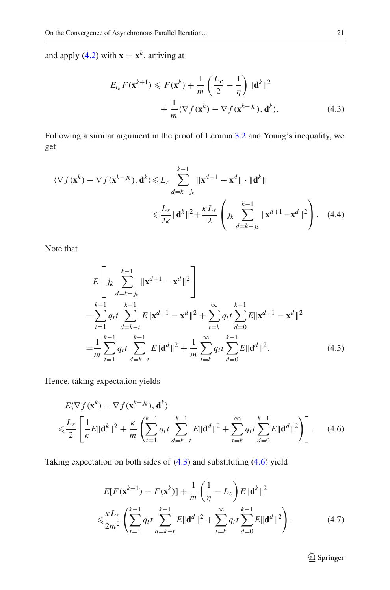and apply [\(4.2\)](#page-15-0) with  $\mathbf{x} = \mathbf{x}^k$ , arriving at

<span id="page-16-0"></span>
$$
E_{i_k} F(\mathbf{x}^{k+1}) \leqslant F(\mathbf{x}^k) + \frac{1}{m} \left( \frac{L_c}{2} - \frac{1}{\eta} \right) \|\mathbf{d}^k\|^2
$$

$$
+ \frac{1}{m} \langle \nabla f(\mathbf{x}^k) - \nabla f(\mathbf{x}^{k-k}), \mathbf{d}^k \rangle. \tag{4.3}
$$

Following a similar argument in the proof of Lemma [3.2](#page-7-2) and Young's inequality, we get

$$
\langle \nabla f(\mathbf{x}^{k}) - \nabla f(\mathbf{x}^{k-k}), \mathbf{d}^{k} \rangle \leq L_{r} \sum_{d=k-j_{k}}^{k-1} \|\mathbf{x}^{d+1} - \mathbf{x}^{d}\| \cdot \|\mathbf{d}^{k}\|
$$
  

$$
\leq \frac{L_{r}}{2\kappa} \|\mathbf{d}^{k}\|^{2} + \frac{\kappa L_{r}}{2} \left(j_{k} \sum_{d=k-j_{k}}^{k-1} \|\mathbf{x}^{d+1} - \mathbf{x}^{d}\|^{2}\right). \quad (4.4)
$$

Note that

$$
E\left[j_k\sum_{d=k-j_k}^{k-1} \|\mathbf{x}^{d+1} - \mathbf{x}^d\|^2\right]
$$
  
=  $\sum_{t=1}^{k-1} q_t t \sum_{d=k-t}^{k-1} E\|\mathbf{x}^{d+1} - \mathbf{x}^d\|^2 + \sum_{t=k}^{\infty} q_t t \sum_{d=0}^{k-1} E\|\mathbf{x}^{d+1} - \mathbf{x}^d\|^2$   
=  $\frac{1}{m} \sum_{t=1}^{k-1} q_t t \sum_{d=k-t}^{k-1} E\|\mathbf{d}^d\|^2 + \frac{1}{m} \sum_{t=k}^{\infty} q_t t \sum_{d=0}^{k-1} E\|\mathbf{d}^d\|^2.$  (4.5)

Hence, taking expectation yields

$$
E\langle \nabla f(\mathbf{x}^k) - \nabla f(\mathbf{x}^{k-j_k}), \mathbf{d}^k \rangle
$$
  

$$
\leqslant \frac{L_r}{2} \left[ \frac{1}{\kappa} E \|\mathbf{d}^k\|^2 + \frac{\kappa}{m} \left( \sum_{t=1}^{k-1} q_t t \sum_{d=k-t}^{k-1} E \|\mathbf{d}^d\|^2 + \sum_{t=k}^{\infty} q_t t \sum_{d=0}^{k-1} E \|\mathbf{d}^d\|^2 \right) \right].
$$
 (4.6)

Taking expectation on both sides of [\(4.3\)](#page-16-0) and substituting [\(4.6\)](#page-16-1) yield

$$
E[F(\mathbf{x}^{k+1}) - F(\mathbf{x}^{k})] + \frac{1}{m} \left(\frac{1}{\eta} - L_c\right) E \|\mathbf{d}^{k}\|^2
$$
  

$$
\leq \frac{\kappa L_r}{2m^2} \left(\sum_{t=1}^{k-1} q_t t \sum_{d=k-t}^{k-1} E \|\mathbf{d}^{d}\|^2 + \sum_{t=k}^{\infty} q_t t \sum_{d=0}^{k-1} E \|\mathbf{d}^{d}\|^2\right).
$$
 (4.7)

<span id="page-16-3"></span><span id="page-16-2"></span><span id="page-16-1"></span><sup>2</sup> Springer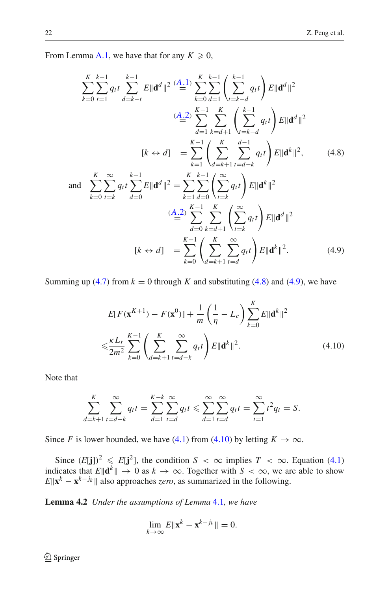From Lemma [A.1,](#page-33-0) we have that for any  $K \geq 0$ ,

<span id="page-17-0"></span>
$$
\sum_{k=0}^{K} \sum_{t=1}^{k-1} q_t t \sum_{d=k-t}^{k-1} E \|\mathbf{d}^d\|^2 \stackrel{(A,1)}{=} \sum_{k=0}^{K} \sum_{d=1}^{k-1} \left( \sum_{t=k-d}^{k-1} q_t t \right) E \|\mathbf{d}^d\|^2
$$
\n
$$
\stackrel{(A,2)}{=} \sum_{d=1}^{K-1} \sum_{k=d+1}^{K} \left( \sum_{t=k-d}^{k-1} q_t t \right) E \|\mathbf{d}^d\|^2
$$
\n
$$
[k \leftrightarrow d] = \sum_{k=1}^{K-1} \left( \sum_{d=k+1}^{K} \sum_{t=d+k}^{d-1} q_t t \right) E \|\mathbf{d}^k\|^2, \qquad (4.8)
$$
\nand\n
$$
\sum_{k=0}^{K} \sum_{t=k}^{\infty} q_t t \sum_{d=0}^{k-1} E \|\mathbf{d}^d\|^2 = \sum_{k=1}^{K} \sum_{d=0}^{k-1} \left( \sum_{t=k}^{\infty} q_t t \right) E \|\mathbf{d}^k\|^2
$$
\n
$$
\stackrel{(A,2)}{=} \sum_{d=0}^{K-1} \sum_{k=d+1}^{K} \left( \sum_{t=k}^{\infty} q_t t \right) E \|\mathbf{d}^d\|^2
$$
\n
$$
[k \leftrightarrow d] = \sum_{k=0}^{K-1} \left( \sum_{d=k+1}^{\infty} \sum_{t=d}^{\infty} q_t t \right) E \|\mathbf{d}^d\|^2.
$$
\n
$$
(4.9)
$$

Summing up [\(4.7\)](#page-16-2) from  $k = 0$  through *K* and substituting [\(4.8\)](#page-17-0) and [\(4.9\)](#page-17-1), we have

<span id="page-17-2"></span><span id="page-17-1"></span>
$$
E[F(\mathbf{x}^{K+1}) - F(\mathbf{x}^{0})] + \frac{1}{m} \left(\frac{1}{\eta} - L_{c}\right) \sum_{k=0}^{K} E\|\mathbf{d}^{k}\|^{2}
$$
  

$$
\leq \frac{\kappa L_{r}}{2m^{2}} \sum_{k=0}^{K-1} \left(\sum_{d=k+1}^{K} \sum_{t=d-k}^{\infty} q_{t} t\right) E\|\mathbf{d}^{k}\|^{2}.
$$
 (4.10)

Note that

$$
\sum_{d=k+1}^{K} \sum_{t=d-k}^{\infty} q_t t = \sum_{d=1}^{K-k} \sum_{t=d}^{\infty} q_t t \le \sum_{d=1}^{\infty} \sum_{t=d}^{\infty} q_t t = \sum_{t=1}^{\infty} t^2 q_t = S.
$$

Since *F* is lower bounded, we have [\(4.1\)](#page-15-1) from [\(4.10\)](#page-17-2) by letting  $K \to \infty$ .

Since  $(E[j])^2 \leq E[j^2]$ , the condition  $S < \infty$  implies  $T < \infty$ . Equation [\(4.1\)](#page-15-1) indicates that  $E\|\mathbf{d}^k\| \to 0$  as  $k \to \infty$ . Together with  $S < \infty$ , we are able to show  $E\|\mathbf{x}^k - \mathbf{x}^{k-j_k}\|$  also approaches *zero*, as summarized in the following.

<span id="page-17-3"></span>**Lemma 4.2** *Under the assumptions of Lemma* [4.1](#page-15-2)*, we have*

$$
\lim_{k\to\infty} E\|\mathbf{x}^k - \mathbf{x}^{k-j_k}\| = 0.
$$

<sup>2</sup> Springer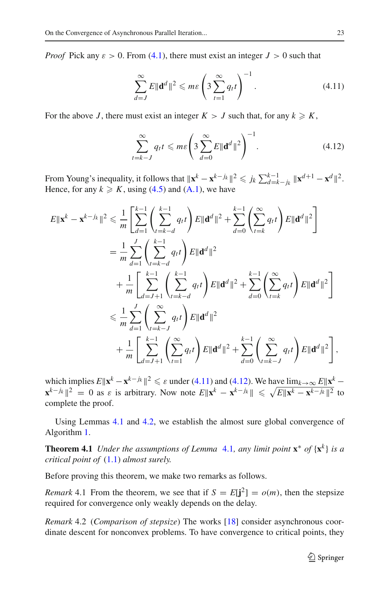*Proof* Pick any  $\varepsilon > 0$ . From [\(4.1\)](#page-15-1), there must exist an integer  $J > 0$  such that

<span id="page-18-1"></span>
$$
\sum_{d=J}^{\infty} E \|\mathbf{d}^d\|^2 \leqslant m\varepsilon \left(3\sum_{t=1}^{\infty} q_t t\right)^{-1}.\tag{4.11}
$$

For the above *J*, there must exist an integer  $K > J$  such that, for any  $k \geq K$ ,

<span id="page-18-2"></span>
$$
\sum_{t=k-J}^{\infty} q_t t \leqslant m\varepsilon \left( 3 \sum_{d=0}^{\infty} E \|\mathbf{d}^d\|^2 \right)^{-1}.
$$
 (4.12)

From Young's inequality, it follows that  $\|\mathbf{x}^k - \mathbf{x}^{k-j_k}\|^2 \leq k \sum_{d=k-j_k}^{k-1} \|\mathbf{x}^{d+1} - \mathbf{x}^d\|^2$ . Hence, for any  $k \geq K$ , using [\(4.5\)](#page-16-3) and [\(A.1\)](#page-1-0), we have

$$
E\|\mathbf{x}^{k} - \mathbf{x}^{k-j_{k}}\|^{2} \leq \frac{1}{m} \left[ \sum_{d=1}^{k-1} \left( \sum_{t=k-d}^{k-1} q_{t} t \right) E\|\mathbf{d}^{d}\|^{2} + \sum_{d=0}^{k-1} \left( \sum_{t=k}^{\infty} q_{t} t \right) E\|\mathbf{d}^{d}\|^{2} \right]
$$
  
\n
$$
= \frac{1}{m} \sum_{d=1}^{J} \left( \sum_{t=k-d}^{k-1} q_{t} t \right) E\|\mathbf{d}^{d}\|^{2}
$$
  
\n
$$
+ \frac{1}{m} \left[ \sum_{d=J+1}^{k-1} \left( \sum_{t=k-d}^{k-1} q_{t} t \right) E\|\mathbf{d}^{d}\|^{2} + \sum_{d=0}^{k-1} \left( \sum_{t=k}^{\infty} q_{t} t \right) E\|\mathbf{d}^{d}\|^{2} \right]
$$
  
\n
$$
\leq \frac{1}{m} \sum_{d=1}^{J} \left( \sum_{t=k-J}^{\infty} q_{t} t \right) E\|\mathbf{d}^{d}\|^{2}
$$
  
\n
$$
+ \frac{1}{m} \left[ \sum_{d=J+1}^{k-1} \left( \sum_{t=1}^{\infty} q_{t} t \right) E\|\mathbf{d}^{d}\|^{2} + \sum_{d=0}^{k-1} \left( \sum_{t=k-J}^{\infty} q_{t} t \right) E\|\mathbf{d}^{d}\|^{2} \right],
$$

which implies  $E\|\mathbf{x}^k - \mathbf{x}^{k-j_k}\|^2 \le \varepsilon$  under [\(4.11\)](#page-18-1) and [\(4.12\)](#page-18-2). We have  $\lim_{k\to\infty} E\|\mathbf{x}^k$ **x**<sup>*k*−*jk*</sup>  $\|$ <sup>2</sup> = 0 as  $\varepsilon$  is arbitrary. Now note  $E\|\mathbf{x}^k - \mathbf{x}^{k-j_k}\|$  ≤  $\sqrt{E\|\mathbf{x}^k - \mathbf{x}^{k-j_k}\|^2}$  to complete the proof.

<span id="page-18-0"></span>Using Lemmas [4.1](#page-15-2) and [4.2,](#page-17-3) we establish the almost sure global convergence of Algorithm [1.](#page-2-0)

**Theorem [4.1](#page-15-2)** *Under the assumptions of Lemma* 4.1*, any limit point*  $\mathbf{x}^*$  *of*  $\{\mathbf{x}^k\}$  *is a critical point of* [\(1.1\)](#page-1-0) *almost surely.*

Before proving this theorem, we make two remarks as follows.

*Remark* 4.1 From the theorem, we see that if  $S = E[j^2] = o(m)$ , then the stepsize required for convergence only weakly depends on the delay.

*Remark* 4.2 (*Comparison of stepsize*) The works [\[18\]](#page-37-3) consider asynchronous coordinate descent for nonconvex problems. To have convergence to critical points, they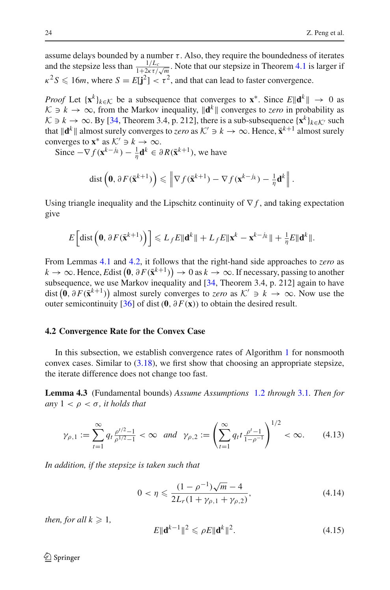assume delays bounded by a number  $\tau$ . Also, they require the boundedness of iterates and the stepsize less than  $\frac{1/L_c}{1+2\kappa\tau/\sqrt{m}}$ . Note that our stepsize in Theorem [4.1](#page-18-0) is larger if  $\kappa^2 S \leq 16m$ , where  $S = E[\mathbf{j}^2] < \tau^2$ , and that can lead to faster convergence.

*Proof* Let  $\{x^k\}_{k\in\mathcal{K}}$  be a subsequence that converges to  $x^*$ . Since  $E\|\mathbf{d}^k\|\to 0$  as *K*  $\ni$  *k* → ∞, from the Markov inequality,  $\|\mathbf{d}^k\|$  converges to *zero* in probability as *K* ∋ *k* → ∞. By [\[34,](#page-37-18) Theorem 3.4, p. 212], there is a sub-subsequence  $\{x^k\}_{k \in K'}$  such that  $\|\mathbf{d}^k\|$  almost surely converges to *zero* as  $K' \ni k \to \infty$ . Hence,  $\bar{\mathbf{x}}^{k+1}$  almost surely converges to  $\mathbf{x}^*$  as  $K' \ni k \to \infty$ .

Since  $-\nabla f(\mathbf{x}^{k-j_k}) - \frac{1}{\eta} \mathbf{d}^k \in \partial R(\bar{\mathbf{x}}^{k+1}),$  we have

dist 
$$
\left(\mathbf{0}, \partial F(\bar{\mathbf{x}}^{k+1})\right) \leq \left\|\nabla f(\bar{\mathbf{x}}^{k+1}) - \nabla f(\mathbf{x}^{k-j_k}) - \frac{1}{\eta}\mathbf{d}^k\right\|.
$$

Using triangle inequality and the Lipschitz continuity of  $\nabla f$ , and taking expectation give

$$
E\left[\text{dist}\left(\mathbf{0},\partial F(\bar{\mathbf{x}}^{k+1})\right)\right] \leqslant L_f E \|\mathbf{d}^k\| + L_f E \|\mathbf{x}^k - \mathbf{x}^{k-j_k}\| + \frac{1}{\eta} E \|\mathbf{d}^k\|.
$$

From Lemmas [4.1](#page-15-2) and [4.2,](#page-17-3) it follows that the right-hand side approaches to *zero* as *k* → ∞. Hence, *E*dist  $(0, \partial F(\bar{x}^{k+1}))$  → 0 as *k* → ∞. If necessary, passing to another subsequence, we use Markov inequality and [\[34,](#page-37-18) Theorem 3.4, p. 212] again to have dist  $(0, \partial F(\bar{x}^{k+1}))$  almost surely converges to *zero* as  $K' \ni k \to \infty$ . Now use the outer semicontinuity  $[36]$  of dist(**0**,  $\partial F(\mathbf{x})$ ) to obtain the desired result.

#### **4.2 Convergence Rate for the Convex Case**

In this subsection, we establish convergence rates of Algorithm [1](#page-2-0) for nonsmooth convex cases. Similar to  $(3.18)$ , we first show that choosing an appropriate stepsize, the iterate difference does not change too fast.

**Lemma 4.3** (Fundamental bounds) *Assume Assumptions* [1.2](#page-4-5) *through* [3.1](#page-10-2)*. Then for any*  $1 < \rho < \sigma$ *, it holds that* 

<span id="page-19-0"></span>
$$
\gamma_{\rho,1} := \sum_{t=1}^{\infty} q_t \frac{\rho^{t/2} - 1}{\rho^{1/2} - 1} < \infty \quad \text{and} \quad \gamma_{\rho,2} := \left( \sum_{t=1}^{\infty} q_t t \frac{\rho^t - 1}{1 - \rho^{-1}} \right)^{1/2} < \infty. \tag{4.13}
$$

*In addition, if the stepsize is taken such that*

<span id="page-19-2"></span>
$$
0 < \eta \leqslant \frac{(1 - \rho^{-1})\sqrt{m} - 4}{2L_r(1 + \gamma_{\rho,1} + \gamma_{\rho,2})},\tag{4.14}
$$

*then, for all*  $k \geq 1$ *,* 

<span id="page-19-1"></span>
$$
E\|\mathbf{d}^{k-1}\|^2 \leqslant \rho E\|\mathbf{d}^k\|^2. \tag{4.15}
$$

 $\circled{2}$  Springer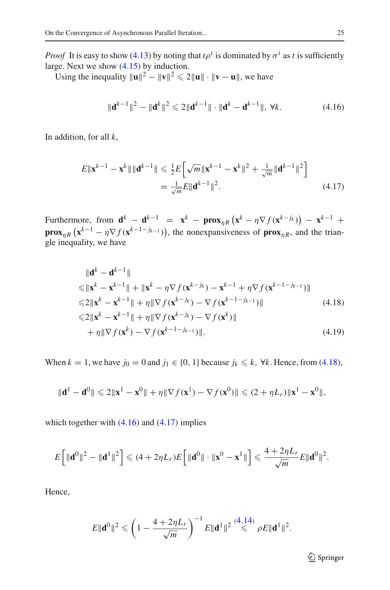*Proof* It is easy to show [\(4.13\)](#page-19-0) by noting that  $t\rho^t$  is dominated by  $\sigma^t$  as t is sufficiently large. Next we show [\(4.15\)](#page-19-1) by induction.

Using the inequality  $||\mathbf{u}||^2 - ||\mathbf{v}||^2 \le 2||\mathbf{u}|| \cdot ||\mathbf{v} - \mathbf{u}||$ , we have

<span id="page-20-2"></span><span id="page-20-1"></span>
$$
\|\mathbf{d}^{k-1}\|^2 - \|\mathbf{d}^k\|^2 \leq 2\|\mathbf{d}^{k-1}\| \cdot \|\mathbf{d}^k - \mathbf{d}^{k-1}\|, \ \forall k. \tag{4.16}
$$

In addition, for all *k*,

$$
E\|\mathbf{x}^{k-1} - \mathbf{x}^{k}\| \|\mathbf{d}^{k-1}\| \le \frac{1}{2}E\left[\sqrt{m}\|\mathbf{x}^{k-1} - \mathbf{x}^{k}\|^2 + \frac{1}{\sqrt{m}}\|\mathbf{d}^{k-1}\|^2\right]
$$
  
=  $\frac{1}{\sqrt{m}}E\|\mathbf{d}^{k-1}\|^2.$  (4.17)

Furthermore, from  $\mathbf{d}^k - \mathbf{d}^{k-1} = \mathbf{x}^k - \mathbf{prox}_{\eta R} (\mathbf{x}^k - \eta \nabla f(\mathbf{x}^{k-k})) - \mathbf{x}^{k-1} + \eta \nabla f(\mathbf{x}^{k-k})$ **prox**<sub>*nR*</sub> ( $\mathbf{x}^{k-1} - \eta \nabla f(\mathbf{x}^{k-1-j_{k-1}})$ ), the nonexpansiveness of **prox**<sub>*nR*</sub>, and the triangle inequality, we have

<span id="page-20-0"></span>
$$
\|\mathbf{d}^{k} - \mathbf{d}^{k-1}\|
$$
  
\n
$$
\leq \|\mathbf{x}^{k} - \mathbf{x}^{k-1}\| + \|\mathbf{x}^{k} - \eta \nabla f(\mathbf{x}^{k-k}) - \mathbf{x}^{k-1} + \eta \nabla f(\mathbf{x}^{k-1-k})\|
$$
  
\n
$$
\leq 2\|\mathbf{x}^{k} - \mathbf{x}^{k-1}\| + \eta \|\nabla f(\mathbf{x}^{k-k}) - \nabla f(\mathbf{x}^{k-1-k-1})\|
$$
\n(4.18)

$$
\leq 2\|\mathbf{x}^{k} - \mathbf{x}^{k-1}\| + \eta \|\nabla f(\mathbf{x}^{k-j_k}) - \nabla f(\mathbf{x}^{k})\|
$$
  
+ 
$$
\eta \|\nabla f(\mathbf{x}^{k}) - \nabla f(\mathbf{x}^{k-1-j_{k-1}})\|.
$$
 (4.19)

When  $k = 1$ , we have  $j_0 = 0$  and  $j_1 \in \{0, 1\}$  because  $j_k \leq k$ ,  $\forall k$ . Hence, from [\(4.18\)](#page-20-0),

$$
\|\mathbf{d}^1 - \mathbf{d}^0\| \leqslant 2\|\mathbf{x}^1 - \mathbf{x}^0\| + \eta \|\nabla f(\mathbf{x}^1) - \nabla f(\mathbf{x}^0)\| \leqslant (2 + \eta L_r) \|\mathbf{x}^1 - \mathbf{x}^0\|,
$$

which together with  $(4.16)$  and  $(4.17)$  implies

$$
E\left[\|\mathbf{d}^{0}\|^{2}-\|\mathbf{d}^{1}\|^{2}\right] \leqslant (4+2\eta L_{r})E\left[\|\mathbf{d}^{0}\| \cdot \|\mathbf{x}^{0}-\mathbf{x}^{1}\|\right] \leqslant \frac{4+2\eta L_{r}}{\sqrt{m}}E\|\mathbf{d}^{0}\|^{2}.
$$

Hence,

$$
E\|\mathbf{d}^{0}\|^{2} \leqslant \left(1 - \frac{4 + 2\eta L_{r}}{\sqrt{m}}\right)^{-1} E\|\mathbf{d}^{1}\|^{2} \stackrel{(4.14)}{\leqslant} \rho E\|\mathbf{d}^{1}\|^{2}.
$$

<span id="page-20-3"></span><sup>2</sup> Springer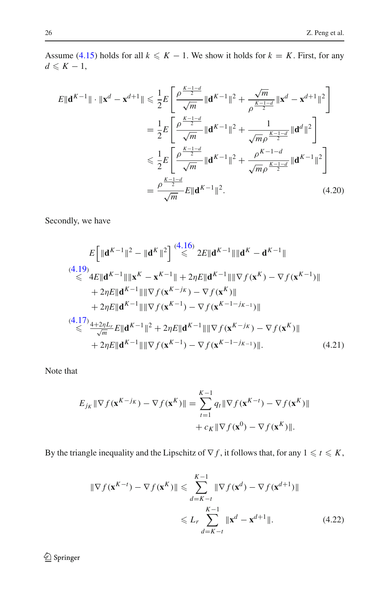Assume [\(4.15\)](#page-19-1) holds for all  $k \leq K - 1$ . We show it holds for  $k = K$ . First, for any  $d \leqslant K - 1$ ,

$$
E\|\mathbf{d}^{K-1}\| \cdot \|\mathbf{x}^{d} - \mathbf{x}^{d+1}\| \leq \frac{1}{2}E\left[\frac{\rho^{\frac{K-1-d}{2}}}{\sqrt{m}} \|\mathbf{d}^{K-1}\|^{2} + \frac{\sqrt{m}}{\rho^{\frac{K-1-d}{2}}}\|\mathbf{x}^{d} - \mathbf{x}^{d+1}\|^{2}\right]
$$
  
\n
$$
= \frac{1}{2}E\left[\frac{\rho^{\frac{K-1-d}{2}}}{\sqrt{m}} \|\mathbf{d}^{K-1}\|^{2} + \frac{1}{\sqrt{m}\rho^{\frac{K-1-d}{2}}}\|\mathbf{d}^{d}\|^{2}\right]
$$
  
\n
$$
\leq \frac{1}{2}E\left[\frac{\rho^{\frac{K-1-d}{2}}}{\sqrt{m}} \|\mathbf{d}^{K-1}\|^{2} + \frac{\rho^{K-1-d}}{\sqrt{m}\rho^{\frac{K-1-d}{2}}}\|\mathbf{d}^{K-1}\|^{2}\right]
$$
  
\n
$$
= \frac{\rho^{\frac{K-1-d}{2}}}{\sqrt{m}}E\|\mathbf{d}^{K-1}\|^{2}.
$$
 (4.20)

Secondly, we have

<span id="page-21-0"></span>
$$
E\left[\|\mathbf{d}^{K-1}\|^2 - \|\mathbf{d}^{K}\|^2\right] \stackrel{(4.16)}{\leq} 2E\|\mathbf{d}^{K-1}\|\|\mathbf{d}^{K} - \mathbf{d}^{K-1}\|
$$
\n
$$
\stackrel{(4.19)}{\leq} 4E\|\mathbf{d}^{K-1}\|\|\mathbf{x}^{K} - \mathbf{x}^{K-1}\| + 2\eta E\|\mathbf{d}^{K-1}\|\|\nabla f(\mathbf{x}^{K}) - \nabla f(\mathbf{x}^{K-1})\|
$$
\n
$$
+ 2\eta E\|\mathbf{d}^{K-1}\|\|\nabla f(\mathbf{x}^{K-j_{K}}) - \nabla f(\mathbf{x}^{K})\|
$$
\n
$$
+ 2\eta E\|\mathbf{d}^{K-1}\|\|\nabla f(\mathbf{x}^{K-1}) - \nabla f(\mathbf{x}^{K-1-j_{K-1}})\|
$$
\n
$$
\stackrel{(4.17)}{\leq} \frac{4+2\eta L_r}{\sqrt{m}} E\|\mathbf{d}^{K-1}\|^2 + 2\eta E\|\mathbf{d}^{K-1}\|\|\nabla f(\mathbf{x}^{K-j_{K}}) - \nabla f(\mathbf{x}^{K})\|
$$
\n
$$
+ 2\eta E\|\mathbf{d}^{K-1}\|\|\nabla f(\mathbf{x}^{K-1}) - \nabla f(\mathbf{x}^{K-1-j_{K-1}})\|.
$$
\n(4.21)

Note that

<span id="page-21-2"></span>
$$
E_{j_K} \|\nabla f(\mathbf{x}^{K-j_K}) - \nabla f(\mathbf{x}^K)\| = \sum_{t=1}^{K-1} q_t \|\nabla f(\mathbf{x}^{K-t}) - \nabla f(\mathbf{x}^K)\|
$$
  
+  $c_K \|\nabla f(\mathbf{x}^0) - \nabla f(\mathbf{x}^K)\|.$ 

By the triangle inequality and the Lipschitz of  $\nabla f$ , it follows that, for any  $1 \leq t \leq K$ ,

<span id="page-21-1"></span>
$$
\|\nabla f(\mathbf{x}^{K-t}) - \nabla f(\mathbf{x}^K)\| \leq \sum_{d=K-t}^{K-1} \|\nabla f(\mathbf{x}^d) - \nabla f(\mathbf{x}^{d+1})\|
$$
  

$$
\leq L_r \sum_{d=K-t}^{K-1} \|\mathbf{x}^d - \mathbf{x}^{d+1}\|.
$$
 (4.22)

<sup>2</sup> Springer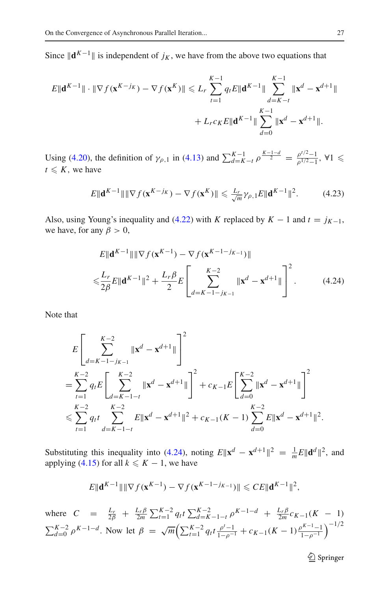Since  $\|\mathbf{d}^{K-1}\|$  is independent of *j<sub>K</sub>*, we have from the above two equations that

$$
E\|\mathbf{d}^{K-1}\| \cdot \|\nabla f(\mathbf{x}^{K-j_K}) - \nabla f(\mathbf{x}^{K})\| \le L_r \sum_{t=1}^{K-1} q_t E\|\mathbf{d}^{K-1}\| \sum_{d=K-t}^{K-1} \|\mathbf{x}^{d} - \mathbf{x}^{d+1}\|
$$
  
+  $L_r c_K E\|\mathbf{d}^{K-1}\| \sum_{d=0}^{K-1} \|\mathbf{x}^{d} - \mathbf{x}^{d+1}\|.$ 

Using [\(4.20\)](#page-21-0), the definition of  $\gamma_{\rho,1}$  in [\(4.13\)](#page-19-0) and  $\sum_{d=K-t}^{K-1} \rho^{\frac{K-1-d}{2}} = \frac{\rho^{t/2}-1}{\rho^{1/2}-1}$ ,  $\forall 1 \le t \le K$  $t \leqslant K$ , we have

<span id="page-22-1"></span>
$$
E\|\mathbf{d}^{K-1}\|\|\nabla f(\mathbf{x}^{K-j_K}) - \nabla f(\mathbf{x}^K)\| \leqslant \frac{L_r}{\sqrt{m}}\gamma_{\rho,1}E\|\mathbf{d}^{K-1}\|^2. \tag{4.23}
$$

Also, using Young's inequality and [\(4.22\)](#page-21-1) with *K* replaced by  $K - 1$  and  $t = j_{K-1}$ , we have, for any  $\beta > 0$ ,

<span id="page-22-0"></span>
$$
E\|\mathbf{d}^{K-1}\| \|\nabla f(\mathbf{x}^{K-1}) - \nabla f(\mathbf{x}^{K-1-j_{K-1}})\|
$$
  

$$
\leqslant \frac{L_r}{2\beta} E\|\mathbf{d}^{K-1}\|^2 + \frac{L_r \beta}{2} E\left[\sum_{d=K-1-j_{K-1}}^{K-2} \|\mathbf{x}^d - \mathbf{x}^{d+1}\|\right]^2.
$$
 (4.24)

Note that

$$
E\left[\sum_{d=K-1-j_{K-1}}^{K-2} \|\mathbf{x}^{d} - \mathbf{x}^{d+1}\| \right]^{2}
$$
  
= 
$$
\sum_{t=1}^{K-2} q_{t} E\left[\sum_{d=K-1-t}^{K-2} \|\mathbf{x}^{d} - \mathbf{x}^{d+1}\| \right]^{2} + c_{K-1} E\left[\sum_{d=0}^{K-2} \|\mathbf{x}^{d} - \mathbf{x}^{d+1}\| \right]^{2}
$$
  

$$
\leq \sum_{t=1}^{K-2} q_{t} t \sum_{d=K-1-t}^{K-2} E\|\mathbf{x}^{d} - \mathbf{x}^{d+1}\|^{2} + c_{K-1}(K-1) \sum_{d=0}^{K-2} E\|\mathbf{x}^{d} - \mathbf{x}^{d+1}\|^{2}.
$$

Substituting this inequality into [\(4.24\)](#page-22-0), noting  $E\|\mathbf{x}^d - \mathbf{x}^{d+1}\|^2 = \frac{1}{m}E\|\mathbf{d}^d\|^2$ , and applying  $(4.15)$  for all  $k \leq K - 1$ , we have

$$
E\|\mathbf{d}^{K-1}\|\|\nabla f(\mathbf{x}^{K-1}) - \nabla f(\mathbf{x}^{K-1-j_{K-1}})\| \leqslant CE\|\mathbf{d}^{K-1}\|^2,
$$

where  $C = \frac{L_r}{2\beta} + \frac{L_r\beta}{2m} \sum_{t=1}^{K-2} q_t t \sum_{d=K-1-t}^{K-2} \rho^{K-1-d} + \frac{L_r\beta}{2m} c_{K-1}(K-1)$  $\sum_{d=0}^{K-2} \rho^{K-1-d}$ . Now let  $\beta = \sqrt{m} \left( \sum_{t=1}^{K-2} q_t t \frac{\rho^{t}-1}{1-\rho^{-1}} + c_{K-1}(K-1) \frac{\rho^{K-1}-1}{1-\rho^{-1}} \right)$  $\big)^{-1/2}$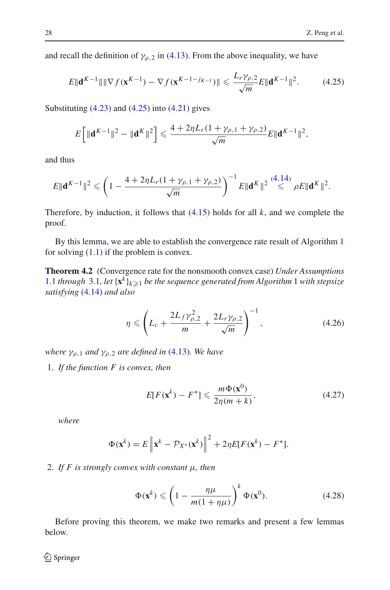and recall the definition of  $\gamma_{p,2}$  in [\(4.13\)](#page-19-0). From the above inequality, we have

$$
E\|\mathbf{d}^{K-1}\| \|\nabla f(\mathbf{x}^{K-1}) - \nabla f(\mathbf{x}^{K-1-j_{K-1}})\| \leqslant \frac{L_r \gamma_{\rho,2}}{\sqrt{m}} E\|\mathbf{d}^{K-1}\|^2. \tag{4.25}
$$

Substituting  $(4.23)$  and  $(4.25)$  into  $(4.21)$  gives

<span id="page-23-1"></span>
$$
E\left[\|\mathbf{d}^{K-1}\|^2 - \|\mathbf{d}^K\|^2\right] \leqslant \frac{4 + 2\eta L_r(1 + \gamma_{\rho,1} + \gamma_{\rho,2})}{\sqrt{m}} E\|\mathbf{d}^{K-1}\|^2,
$$

and thus

$$
E\|\mathbf{d}^{K-1}\|^2 \leqslant \left(1 - \frac{4 + 2\eta L_r(1 + \gamma_{\rho,1} + \gamma_{\rho,2})}{\sqrt{m}}\right)^{-1} E\|\mathbf{d}^K\|^2 \stackrel{(4.14)}{\leqslant} \rho E\|\mathbf{d}^K\|^2.
$$

Therefore, by induction, it follows that [\(4.15\)](#page-19-1) holds for all *k*, and we complete the proof.

<span id="page-23-0"></span>By this lemma, we are able to establish the convergence rate result of Algorithm [1](#page-2-0) for solving  $(1.1)$  if the problem is convex.

**Theorem 4.2** (Convergence rate for the nonsmooth convex case) *Under Assumptions* [1.1](#page-4-3) *through* [3.1](#page-10-2), let  $\{x^k\}_{k\geq 1}$  $\{x^k\}_{k\geq 1}$  $\{x^k\}_{k\geq 1}$  *be the sequence generated from Algorithm* 1 *with stepsize satisfying* [\(4.14\)](#page-19-2) *and also*

<span id="page-23-3"></span>
$$
\eta \leqslant \left( L_c + \frac{2L_f \gamma_{\rho,2}^2}{m} + \frac{2L_r \gamma_{\rho,2}}{\sqrt{m}} \right)^{-1},\tag{4.26}
$$

*where*  $\gamma_{\rho,1}$  *and*  $\gamma_{\rho,2}$  *are defined in* [\(4.13\)](#page-19-0)*. We have* 

1. *If the function F is convex, then*

<span id="page-23-4"></span>
$$
E[F(\mathbf{x}^k) - F^*] \leq \frac{m\Phi(\mathbf{x}^0)}{2\eta(m+k)},
$$
\n(4.27)

*where*

$$
\Phi(\mathbf{x}^k) = E \left\| \mathbf{x}^k - \mathcal{P}_{X^*}(\mathbf{x}^k) \right\|^2 + 2\eta E[F(\mathbf{x}^k) - F^*].
$$

### 2. *If F is strongly convex with constant* μ*, then*

<span id="page-23-2"></span>
$$
\Phi(\mathbf{x}^k) \leqslant \left(1 - \frac{\eta \mu}{m(1 + \eta \mu)}\right)^k \Phi(\mathbf{x}^0). \tag{4.28}
$$

Before proving this theorem, we make two remarks and present a few lemmas below.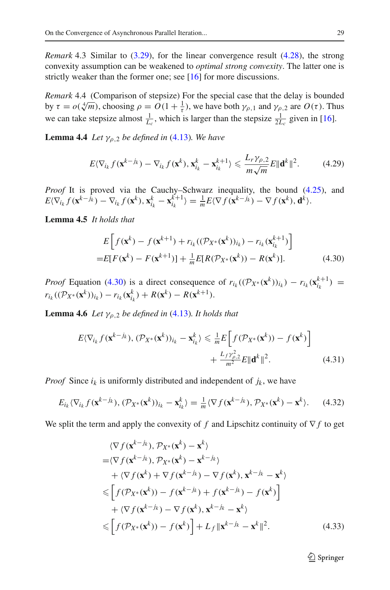*Remark* 4.3 Similar to [\(3.29\)](#page-14-2), for the linear convergence result [\(4.28\)](#page-23-2), the strong convexity assumption can be weakened to *optimal strong convexity*. The latter one is strictly weaker than the former one; see [\[16](#page-37-1)] for more discussions.

*Remark* 4.4 (Comparison of stepsize) For the special case that the delay is bounded by  $\tau = o(\sqrt[4]{m})$ , choosing  $\rho = O(1 + \frac{1}{\tau})$ , we have both  $\gamma_{\rho,1}$  and  $\gamma_{\rho,2}$  are  $O(\tau)$ . Thus we can take stepsize almost  $\frac{1}{L_c}$ , which is larger than the stepsize  $\frac{1}{2L_c}$  given in [\[16\]](#page-37-1).

**Lemma 4.4** *Let*  $\gamma_{\rho,2}$  *be defined in* [\(4.13\)](#page-19-0)*. We have* 

<span id="page-24-4"></span>
$$
E\langle \nabla_{i_k} f(\mathbf{x}^{k-j_k}) - \nabla_{i_k} f(\mathbf{x}^k), \mathbf{x}_{i_k}^k - \mathbf{x}_{i_k}^{k+1} \rangle \leqslant \frac{L_r \gamma_{\rho,2}}{m \sqrt{m}} E \|\mathbf{d}^k\|^2. \tag{4.29}
$$

*Proof* It is proved via the Cauchy–Schwarz inequality, the bound [\(4.25\)](#page-23-1), and  $E(\nabla_{i_k} f(\mathbf{x}^{k-j_k}) - \nabla_{i_k} f(\mathbf{x}^k), \mathbf{x}_{i_k}^k - \mathbf{x}_{i_k}^{k+1}) = \frac{1}{m} E(\nabla f(\mathbf{x}^{k-j_k}) - \nabla f(\mathbf{x}^k), \mathbf{d}^k).$ 

**Lemma 4.5** *It holds that*

<span id="page-24-0"></span>
$$
E\left[f(\mathbf{x}^{k}) - f(\mathbf{x}^{k+1}) + r_{i_k}((\mathcal{P}_{X^*}(\mathbf{x}^{k}))_{i_k}) - r_{i_k}(\mathbf{x}_{i_k}^{k+1})\right]
$$
  
= 
$$
E[F(\mathbf{x}^{k}) - F(\mathbf{x}^{k+1})] + \frac{1}{m}E[R(\mathcal{P}_{X^*}(\mathbf{x}^{k})) - R(\mathbf{x}^{k})].
$$
 (4.30)

*Proof* Equation [\(4.30\)](#page-24-0) is a direct consequence of  $r_{i_k}((\mathcal{P}_{X^*}(\mathbf{x}^k))_{i_k}) - r_{i_k}(\mathbf{x}_{i_k}^{k+1}) =$  $r_{i_k}((\mathcal{P}_{X^*}(\mathbf{x}^k))_{i_k}) - r_{i_k}(\mathbf{x}_{i_k}^k) + R(\mathbf{x}^k) - R(\mathbf{x}^{k+1}).$ 

**Lemma 4.6** *Let*  $\gamma_{\rho,2}$  *be defined in* [\(4.13\)](#page-19-0)*. It holds that* 

$$
E\langle \nabla_{i_k} f(\mathbf{x}^{k-j_k}), (\mathcal{P}_{X^*}(\mathbf{x}^k))_{i_k} - \mathbf{x}_{i_k}^k \rangle \leq \frac{1}{m} E \Big[ f(\mathcal{P}_{X^*}(\mathbf{x}^k)) - f(\mathbf{x}^k) \Big] + \frac{L_f \gamma_{\rho,2}^2}{m^2} E \| \mathbf{d}^k \|^2.
$$
 (4.31)

*Proof* Since  $i_k$  is uniformly distributed and independent of  $j_k$ , we have

<span id="page-24-2"></span>
$$
E_{i_k}\langle \nabla_{i_k} f(\mathbf{x}^{k-j_k}), (\mathcal{P}_{X^*}(\mathbf{x}^k))_{i_k} - \mathbf{x}_{i_k}^k \rangle = \frac{1}{m} \langle \nabla f(\mathbf{x}^{k-j_k}), \mathcal{P}_{X^*}(\mathbf{x}^k) - \mathbf{x}^k \rangle. \tag{4.32}
$$

We split the term and apply the convexity of *f* and Lipschitz continuity of ∇ *f* to get

$$
\langle \nabla f(\mathbf{x}^{k-j_k}), \mathcal{P}_{X^*}(\mathbf{x}^k) - \mathbf{x}^k \rangle
$$
  
\n
$$
= \langle \nabla f(\mathbf{x}^{k-j_k}), \mathcal{P}_{X^*}(\mathbf{x}^k) - \mathbf{x}^{k-j_k} \rangle
$$
  
\n
$$
+ \langle \nabla f(\mathbf{x}^k) + \nabla f(\mathbf{x}^{k-j_k}) - \nabla f(\mathbf{x}^k), \mathbf{x}^{k-j_k} - \mathbf{x}^k \rangle
$$
  
\n
$$
\leq \left[ f(\mathcal{P}_{X^*}(\mathbf{x}^k)) - f(\mathbf{x}^{k-j_k}) + f(\mathbf{x}^{k-j_k}) - f(\mathbf{x}^k) \right]
$$
  
\n
$$
+ \langle \nabla f(\mathbf{x}^{k-j_k}) - \nabla f(\mathbf{x}^k), \mathbf{x}^{k-j_k} - \mathbf{x}^k \rangle
$$
  
\n
$$
\leq \left[ f(\mathcal{P}_{X^*}(\mathbf{x}^k)) - f(\mathbf{x}^k) \right] + L_f \|\mathbf{x}^{k-j_k} - \mathbf{x}^k\|^2.
$$
 (4.33)

<span id="page-24-3"></span><span id="page-24-1"></span> $\mathcal{D}$  Springer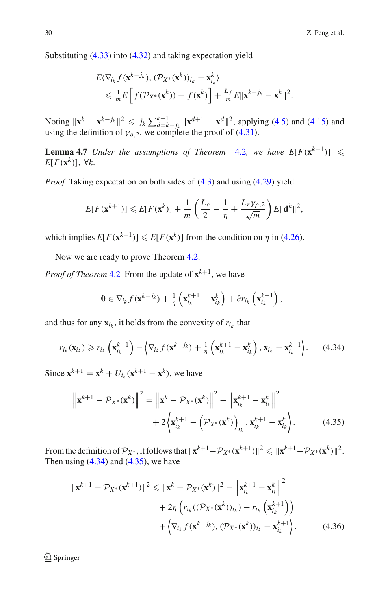Substituting [\(4.33\)](#page-24-1) into [\(4.32\)](#page-24-2) and taking expectation yield

$$
E\langle \nabla_{i_k} f(\mathbf{x}^{k-j_k}), (\mathcal{P}_{X^*}(\mathbf{x}^k))_{i_k} - \mathbf{x}_{i_k}^k \rangle
$$
  
\$\leq \frac{1}{m}E\bigg[f(\mathcal{P}\_{X^\*}(\mathbf{x}^k)) - f(\mathbf{x}^k)\bigg] + \frac{L\_f}{m}E\|\mathbf{x}^{k-j\_k} - \mathbf{x}^k\|^2\$.

Noting  $\|\mathbf{x}^k - \mathbf{x}^{k-j_k}\|^2 \leq j_k \sum_{d=k-j_k}^{k-1} \|\mathbf{x}^{d+1} - \mathbf{x}^d\|^2$ , applying [\(4.5\)](#page-16-3) and [\(4.15\)](#page-19-1) and using the definition of  $\gamma_{\rho,2}$ , we complete the proof of [\(4.31\)](#page-24-3).

<span id="page-25-3"></span>**Lemma 4.7** *Under the assumptions of Theorem [4.2](#page-23-0), we have*  $E[F(\mathbf{x}^{k+1})] \leq$ *E*[ $F$ ( $\mathbf{x}^k$ )], ∀ $k$ .

*Proof* Taking expectation on both sides of [\(4.3\)](#page-16-0) and using [\(4.29\)](#page-24-4) yield

$$
E[F(\mathbf{x}^{k+1})] \leqslant E[F(\mathbf{x}^k)] + \frac{1}{m}\left(\frac{L_c}{2} - \frac{1}{\eta} + \frac{L_r\gamma_{\rho,2}}{\sqrt{m}}\right)E\|\mathbf{d}^k\|^2,
$$

which implies  $E[F(\mathbf{x}^{k+1})] \leq E[F(\mathbf{x}^k)]$  from the condition on  $\eta$  in [\(4.26\)](#page-23-3).

Now we are ready to prove Theorem [4.2.](#page-23-0)

*Proof of Theorem* [4.2](#page-23-0) From the update of  $\mathbf{x}^{k+1}$ , we have

$$
\mathbf{0} \in \nabla_{i_k} f(\mathbf{x}^{k-j_k}) + \frac{1}{\eta} \left( \mathbf{x}_{i_k}^{k+1} - \mathbf{x}_{i_k}^k \right) + \partial r_{i_k} \left( \mathbf{x}_{i_k}^{k+1} \right),
$$

and thus for any  $\mathbf{x}_{i_k}$ , it holds from the convexity of  $r_{i_k}$  that

<span id="page-25-0"></span>
$$
r_{i_k}(\mathbf{x}_{i_k}) \geq r_{i_k} \left( \mathbf{x}_{i_k}^{k+1} \right) - \left\langle \nabla_{i_k} f(\mathbf{x}^{k-j_k}) + \frac{1}{\eta} \left( \mathbf{x}_{i_k}^{k+1} - \mathbf{x}_{i_k}^k \right), \mathbf{x}_{i_k} - \mathbf{x}_{i_k}^{k+1} \right\rangle. \tag{4.34}
$$

Since  $\mathbf{x}^{k+1} = \mathbf{x}^k + U_{i_k}(\mathbf{x}^{k+1} - \mathbf{x}^k)$ , we have

<span id="page-25-1"></span>
$$
\|\mathbf{x}^{k+1} - \mathcal{P}_{X^*}(\mathbf{x}^k)\|^2 = \left\|\mathbf{x}^k - \mathcal{P}_{X^*}(\mathbf{x}^k)\right\|^2 - \left\|\mathbf{x}_{i_k}^{k+1} - \mathbf{x}_{i_k}^k\right\|^2 + 2\left\langle\mathbf{x}_{i_k}^{k+1} - \left(\mathcal{P}_{X^*}(\mathbf{x}^k)\right)_{i_k}, \mathbf{x}_{i_k}^{k+1} - \mathbf{x}_{i_k}^k\right\rangle. \tag{4.35}
$$

From the definition of  $\mathcal{P}_{X^*}$ , it follows that  $\|\mathbf{x}^{k+1}-\mathcal{P}_{X^*}(\mathbf{x}^{k+1})\|^2 \le \|\mathbf{x}^{k+1}-\mathcal{P}_{X^*}(\mathbf{x}^k)\|^2$ . Then using  $(4.34)$  and  $(4.35)$ , we have

<span id="page-25-2"></span>
$$
\|\mathbf{x}^{k+1} - \mathcal{P}_{X^*}(\mathbf{x}^{k+1})\|^2 \le \|\mathbf{x}^k - \mathcal{P}_{X^*}(\mathbf{x}^k)\|^2 - \left\|\mathbf{x}_{i_k}^{k+1} - \mathbf{x}_{i_k}^k\right\|^2
$$
  
+ 
$$
2\eta \left(r_{i_k}((\mathcal{P}_{X^*}(\mathbf{x}^k))_{i_k}) - r_{i_k}(\mathbf{x}_{i_k}^{k+1})\right)
$$
  
+ 
$$
\left\langle \nabla_{i_k} f(\mathbf{x}^{k-j_k}), (\mathcal{P}_{X^*}(\mathbf{x}^k))_{i_k} - \mathbf{x}_{i_k}^{k+1}\right\rangle.
$$
 (4.36)

<sup>2</sup> Springer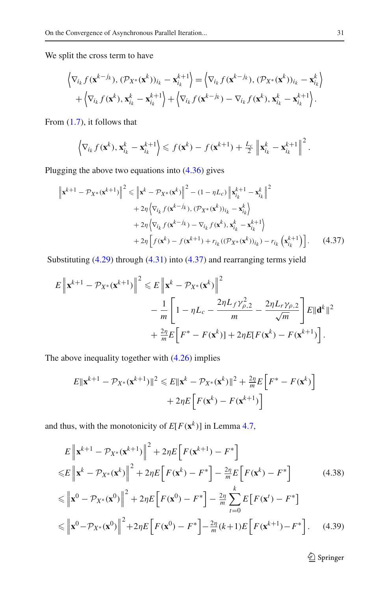We split the cross term to have

$$
\left\langle \nabla_{i_k} f(\mathbf{x}^{k-j_k}), (\mathcal{P}_{X^*}(\mathbf{x}^k))_{i_k} - \mathbf{x}_{i_k}^{k+1} \right\rangle = \left\langle \nabla_{i_k} f(\mathbf{x}^{k-j_k}), (\mathcal{P}_{X^*}(\mathbf{x}^k))_{i_k} - \mathbf{x}_{i_k}^k \right\rangle
$$
  
+  $\left\langle \nabla_{i_k} f(\mathbf{x}^k), \mathbf{x}_{i_k}^k - \mathbf{x}_{i_k}^{k+1} \right\rangle + \left\langle \nabla_{i_k} f(\mathbf{x}^{k-j_k}) - \nabla_{i_k} f(\mathbf{x}^k), \mathbf{x}_{i_k}^k - \mathbf{x}_{i_k}^{k+1} \right\rangle.$ 

From [\(1.7\)](#page-4-2), it follows that

<span id="page-26-0"></span>
$$
\left\langle \nabla_{i_k} f(\mathbf{x}^k), \mathbf{x}_{i_k}^k - \mathbf{x}_{i_k}^{k+1} \right\rangle \leq f(\mathbf{x}^k) - f(\mathbf{x}^{k+1}) + \frac{L_c}{2} \left\| \mathbf{x}_{i_k}^k - \mathbf{x}_{i_k}^{k+1} \right\|^2.
$$

Plugging the above two equations into [\(4.36\)](#page-25-2) gives

$$
\|\mathbf{x}^{k+1} - \mathcal{P}_{X^*}(\mathbf{x}^{k+1})\|^2 \le \left\|\mathbf{x}^k - \mathcal{P}_{X^*}(\mathbf{x}^k)\right\|^2 - (1 - \eta L_c) \left\|\mathbf{x}_{i_k}^{k+1} - \mathbf{x}_{i_k}^k\right\|^2 + 2\eta \left\langle \nabla_{i_k} f(\mathbf{x}^{k-j_k}), (\mathcal{P}_{X^*}(\mathbf{x}^k))_{i_k} - \mathbf{x}_{i_k}^k \right\rangle + 2\eta \left\langle \nabla_{i_k} f(\mathbf{x}^{k-j_k}) - \nabla_{i_k} f(\mathbf{x}^k), \mathbf{x}_{i_k}^k - \mathbf{x}_{i_k}^{k+1} \right\rangle + 2\eta \left[ f(\mathbf{x}^k) - f(\mathbf{x}^{k+1}) + r_{i_k} ((\mathcal{P}_{X^*}(\mathbf{x}^k))_{i_k}) - r_{i_k} (\mathbf{x}_{i_k}^{k+1}) \right].
$$
 (4.37)

Substituting [\(4.29\)](#page-24-4) through [\(4.31\)](#page-24-3) into [\(4.37\)](#page-26-0) and rearranging terms yield

$$
E \left\| \mathbf{x}^{k+1} - \mathcal{P}_{X^*}(\mathbf{x}^{k+1}) \right\|^2 \leq E \left\| \mathbf{x}^k - \mathcal{P}_{X^*}(\mathbf{x}^k) \right\|^2
$$
  

$$
- \frac{1}{m} \left[ 1 - \eta L_c - \frac{2\eta L_f \gamma_{\rho,2}^2}{m} - \frac{2\eta L_r \gamma_{\rho,2}}{\sqrt{m}} \right] E \|\mathbf{d}^k\|^2
$$
  

$$
+ \frac{2\eta}{m} E \left[ F^* - F(\mathbf{x}^k) \right] + 2\eta E [F(\mathbf{x}^k) - F(\mathbf{x}^{k+1})].
$$

The above inequality together with [\(4.26\)](#page-23-3) implies

$$
E\|\mathbf{x}^{k+1} - \mathcal{P}_{X^*}(\mathbf{x}^{k+1})\|^2 \leq E\|\mathbf{x}^k - \mathcal{P}_{X^*}(\mathbf{x}^k)\|^2 + \frac{2\eta}{m}E\left[F^* - F(\mathbf{x}^k)\right] + 2\eta E\left[F(\mathbf{x}^k) - F(\mathbf{x}^{k+1})\right]
$$

and thus, with the monotonicity of  $E[F(\mathbf{x}^k)]$  in Lemma [4.7,](#page-25-3)

<span id="page-26-1"></span>
$$
E \left\| \mathbf{x}^{k+1} - \mathcal{P}_{X^*}(\mathbf{x}^{k+1}) \right\|^2 + 2\eta E \left[ F(\mathbf{x}^{k+1}) - F^* \right]
$$
  
\n
$$
\leq E \left\| \mathbf{x}^k - \mathcal{P}_{X^*}(\mathbf{x}^k) \right\|^2 + 2\eta E \left[ F(\mathbf{x}^k) - F^* \right] - \frac{2\eta}{m} E \left[ F(\mathbf{x}^k) - F^* \right] \qquad (4.38)
$$
  
\n
$$
\leq \left\| \mathbf{x}^0 - \mathcal{P}_{X^*}(\mathbf{x}^0) \right\|^2 + 2\eta E \left[ F(\mathbf{x}^0) - F^* \right] - \frac{2\eta}{m} \sum_{t=0}^k E \left[ F(\mathbf{x}^t) - F^* \right]
$$
  
\n
$$
\leq \left\| \mathbf{x}^0 - \mathcal{P}_{X^*}(\mathbf{x}^0) \right\|^2 + 2\eta E \left[ F(\mathbf{x}^0) - F^* \right] - \frac{2\eta}{m} (k+1) E \left[ F(\mathbf{x}^{k+1}) - F^* \right]. \qquad (4.39)
$$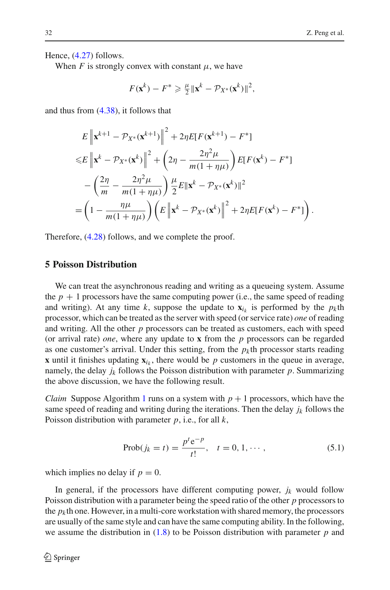Hence, [\(4.27\)](#page-23-4) follows.

When *F* is strongly convex with constant  $\mu$ , we have

$$
F(\mathbf{x}^k) - F^* \geqslant \frac{\mu}{2} \|\mathbf{x}^k - \mathcal{P}_{X^*}(\mathbf{x}^k)\|^2,
$$

and thus from [\(4.38\)](#page-26-1), it follows that

$$
E\left\|\mathbf{x}^{k+1} - \mathcal{P}_{X^*}(\mathbf{x}^{k+1})\right\|^2 + 2\eta E[F(\mathbf{x}^{k+1}) - F^*]
$$
  
\n
$$
\leq E\left\|\mathbf{x}^k - \mathcal{P}_{X^*}(\mathbf{x}^k)\right\|^2 + \left(2\eta - \frac{2\eta^2\mu}{m(1+\eta\mu)}\right)E[F(\mathbf{x}^k) - F^*]
$$
  
\n
$$
-\left(\frac{2\eta}{m} - \frac{2\eta^2\mu}{m(1+\eta\mu)}\right)\frac{\mu}{2}E\|\mathbf{x}^k - \mathcal{P}_{X^*}(\mathbf{x}^k)\|^2
$$
  
\n
$$
= \left(1 - \frac{\eta\mu}{m(1+\eta\mu)}\right)\left(E\left\|\mathbf{x}^k - \mathcal{P}_{X^*}(\mathbf{x}^k)\right\|^2 + 2\eta E[F(\mathbf{x}^k) - F^*]\right).
$$

Therefore, [\(4.28\)](#page-23-2) follows, and we complete the proof.

# <span id="page-27-0"></span>**5 Poisson Distribution**

We can treat the asynchronous reading and writing as a queueing system. Assume the  $p + 1$  processors have the same computing power (i.e., the same speed of reading and writing). At any time k, suppose the update to  $\mathbf{x}_i$  is performed by the  $p_k$ th processor, which can be treated as the server with speed (or service rate) *one* of reading and writing. All the other *p* processors can be treated as customers, each with speed (or arrival rate) *one*, where any update to **x** from the *p* processors can be regarded as one customer's arrival. Under this setting, from the  $p_k$ <sup>th</sup> processor starts reading **x** until it finishes updating  $\mathbf{x}_i$ , there would be p customers in the queue in average, namely, the delay  $j_k$  follows the Poisson distribution with parameter  $p$ . Summarizing the above discussion, we have the following result.

*Claim* Suppose Algorithm [1](#page-2-0) runs on a system with  $p + 1$  processors, which have the same speed of reading and writing during the iterations. Then the delay  $j_k$  follows the Poisson distribution with parameter *p*, i.e., for all *k*,

<span id="page-27-1"></span>
$$
Prob(j_k = t) = \frac{p^t e^{-p}}{t!}, \quad t = 0, 1, \cdots,
$$
\n(5.1)

which implies no delay if  $p = 0$ .

In general, if the processors have different computing power,  $j_k$  would follow Poisson distribution with a parameter being the speed ratio of the other *p* processors to the  $p_k$ <sup>th</sup> one. However, in a multi-core workstation with shared memory, the processors are usually of the same style and can have the same computing ability. In the following, we assume the distribution in [\(1.8\)](#page-4-1) to be Poisson distribution with parameter *p* and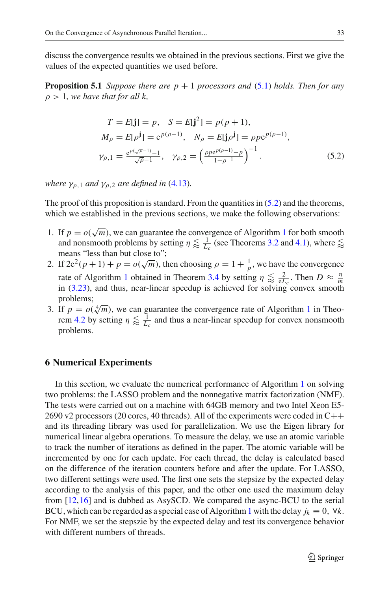discuss the convergence results we obtained in the previous sections. First we give the values of the expected quantities we used before.

**Proposition 5.1** *Suppose there are*  $p + 1$  *processors and* [\(5.1\)](#page-27-1) *holds. Then for any*  $\rho > 1$ , we have that for all k,

<span id="page-28-0"></span>
$$
T = E[\mathbf{j}] = p, \quad S = E[\mathbf{j}^{2}] = p(p+1),
$$
  
\n
$$
M_{\rho} = E[\rho^{j}] = e^{p(\rho-1)}, \quad N_{\rho} = E[\mathbf{j}\rho^{j}] = \rho p e^{p(\rho-1)},
$$
  
\n
$$
\gamma_{\rho,1} = \frac{e^{p(\sqrt{\rho}-1)} - 1}{\sqrt{\rho}-1}, \quad \gamma_{\rho,2} = \left(\frac{\rho p e^{p(\rho-1)} - p}{1-\rho^{-1}}\right)^{-1}.
$$
\n(5.2)

*where*  $\gamma_{0,1}$  *and*  $\gamma_{0,2}$  *are defined in* [\(4.13\)](#page-19-0)*.* 

The proof of this proposition is standard. From the quantities in  $(5.2)$  and the theorems, which we established in the previous sections, we make the following observations:

- [1](#page-2-0). If  $p = o(\sqrt{m})$ , we can guarantee the convergence of Algorithm 1 for both smooth and nonsmooth problems by setting  $\eta \lessapprox \frac{1}{L_c}$  (see Theorems [3.2](#page-9-5) and [4.1\)](#page-18-0), where  $\lessapprox$ means "less than but close to";
- 2. If  $2e^2(p+1) + p = o(\sqrt{m})$ , then choosing  $\rho = 1 + \frac{1}{p}$ , we have the convergence rate of Algorithm [1](#page-2-0) obtained in Theorem [3.4](#page-13-1) by setting  $\eta \lessapprox \frac{2}{eL_c}$ . Then  $D \approx \frac{\eta}{m}$ in [\(3.23\)](#page-12-2), and thus, near-linear speedup is achieved for solving convex smooth problems;
- 3. If  $p = o(\sqrt[4]{m})$ , we can guarantee the convergence rate of Algorithm [1](#page-2-0) in Theo-rem [4.2](#page-23-0) by setting  $\eta \lesssim \frac{1}{L_c}$  and thus a near-linear speedup for convex nonsmooth problems.

# **6 Numerical Experiments**

In this section, we evaluate the numerical performance of Algorithm [1](#page-2-0) on solving two problems: the LASSO problem and the nonnegative matrix factorization (NMF). The tests were carried out on a machine with 64GB memory and two Intel Xeon E5- 2690 v2 processors (20 cores, 40 threads). All of the experiments were coded in  $C++$ and its threading library was used for parallelization. We use the Eigen library for numerical linear algebra operations. To measure the delay, we use an atomic variable to track the number of iterations as defined in the paper. The atomic variable will be incremented by one for each update. For each thread, the delay is calculated based on the difference of the iteration counters before and after the update. For LASSO, two different settings were used. The first one sets the stepsize by the expected delay according to the analysis of this paper, and the other one used the maximum delay from [\[12](#page-36-11),[16\]](#page-37-1) and is dubbed as AsySCD. We compared the async-BCU to the serial BCU, which can be regarded as a special case of Algorithm [1](#page-2-0) with the delay  $j_k \equiv 0$ ,  $\forall k$ . For NMF, we set the stepszie by the expected delay and test its convergence behavior with different numbers of threads.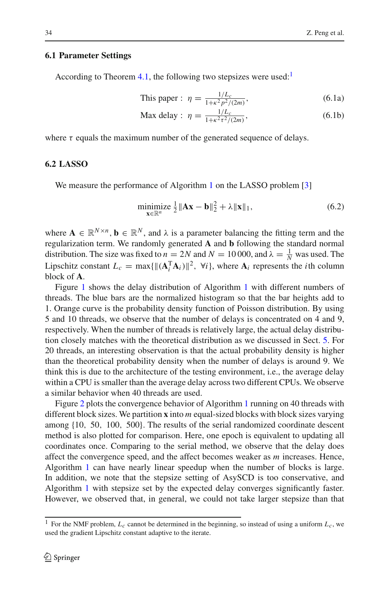#### **6.1 Parameter Settings**

According to Theorem [4.1,](#page-18-0) the following two stepsizes were used:<sup>[1](#page-29-0)</sup>

<span id="page-29-3"></span><span id="page-29-2"></span>This paper: 
$$
\eta = \frac{1/L_c}{1 + \kappa^2 p^2 / (2m)},
$$
 (6.1a)

$$
\text{Max delay : } \eta = \frac{1/L_c}{1 + \kappa^2 \tau^2 / (2m)},\tag{6.1b}
$$

where  $\tau$  equals the maximum number of the generated sequence of delays.

## **6.2 LASSO**

We measure the performance of Algorithm [1](#page-2-0) on the LASSO problem [\[3](#page-36-2)]

<span id="page-29-1"></span>
$$
\underset{\mathbf{x} \in \mathbb{R}^n}{\text{minimize}} \frac{1}{2} \|\mathbf{A}\mathbf{x} - \mathbf{b}\|_2^2 + \lambda \|\mathbf{x}\|_1,\tag{6.2}
$$

where  $\mathbf{A} \in \mathbb{R}^{N \times n}$ ,  $\mathbf{b} \in \mathbb{R}^{N}$ , and  $\lambda$  is a parameter balancing the fitting term and the regularization term. We randomly generated **A** and **b** following the standard normal distribution. The size was fixed to  $n = 2N$  and  $N = 10000$ , and  $\lambda = \frac{1}{N}$  was used. The Lipschitz constant  $L_c = \max{\|(\mathbf{A}_i^T \mathbf{A}_i)\|^2}$ ,  $\forall i\}$ , where  $\mathbf{A}_i$  represents the *i*th column block of **A**.

Figure [1](#page-30-0) shows the delay distribution of Algorithm [1](#page-2-0) with different numbers of threads. The blue bars are the normalized histogram so that the bar heights add to 1. Orange curve is the probability density function of Poisson distribution. By using 5 and 10 threads, we observe that the number of delays is concentrated on 4 and 9, respectively. When the number of threads is relatively large, the actual delay distribution closely matches with the theoretical distribution as we discussed in Sect. [5.](#page-27-0) For 20 threads, an interesting observation is that the actual probability density is higher than the theoretical probability density when the number of delays is around 9. We think this is due to the architecture of the testing environment, i.e., the average delay within a CPU is smaller than the average delay across two different CPUs. We observe a similar behavior when 40 threads are used.

Figure [2](#page-31-0) plots the convergence behavior of Algorithm [1](#page-2-0) running on 40 threads with different block sizes. We partition **x** into *m* equal-sized blocks with block sizes varying among {10, 50, 100, 500}. The results of the serial randomized coordinate descent method is also plotted for comparison. Here, one epoch is equivalent to updating all coordinates once. Comparing to the serial method, we observe that the delay does affect the convergence speed, and the affect becomes weaker as *m* increases. Hence, Algorithm [1](#page-2-0) can have nearly linear speedup when the number of blocks is large. In addition, we note that the stepsize setting of AsySCD is too conservative, and Algorithm [1](#page-2-0) with stepsize set by the expected delay converges significantly faster. However, we observed that, in general, we could not take larger stepsize than that

<span id="page-29-0"></span><sup>&</sup>lt;sup>1</sup> For the NMF problem,  $L_c$  cannot be determined in the beginning, so instead of using a uniform  $L_c$ , we used the gradient Lipschitz constant adaptive to the iterate.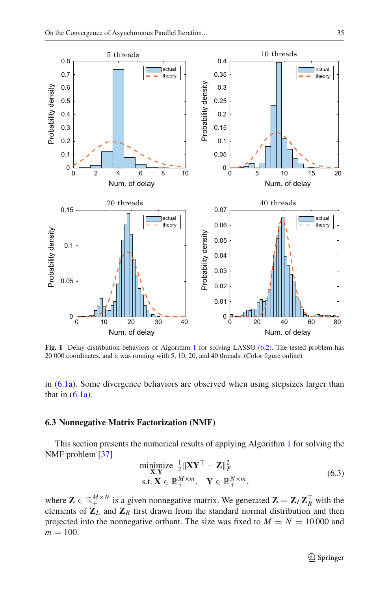

<span id="page-30-0"></span>**Fig. [1](#page-2-0)** Delay distribution behaviors of Algorithm 1 for solving LASSO [\(6.2\)](#page-29-1). The tested problem has 20 000 coordinates, and it was running with 5, 10, 20, and 40 threads. (Color figure online)

in [\(6.1a\)](#page-29-2). Some divergence behaviors are observed when using stepsizes larger than that in  $(6.1a)$ .

### **6.3 Nonnegative Matrix Factorization (NMF)**

This section presents the numerical results of applying Algorithm [1](#page-2-0) for solving the NMF problem [\[37\]](#page-37-21)

<span id="page-30-1"></span>
$$
\begin{array}{ll}\n\text{minimize} & \frac{1}{2} \|\mathbf{X}\mathbf{Y}^{\top} - \mathbf{Z}\|_{F}^{2} \\
\text{s.t. } \mathbf{X} \in \mathbb{R}_{+}^{M \times m}, \quad \mathbf{Y} \in \mathbb{R}_{+}^{N \times m},\n\end{array} \tag{6.3}
$$

where  $\mathbf{Z} \in \mathbb{R}_+^{M \times N}$  is a given nonnegative matrix. We generated  $\mathbf{Z} = \mathbf{Z}_L \mathbf{Z}_R^\top$  with the elements of  $\mathbf{Z}_L$  and  $\mathbf{Z}_R$  first drawn from the standard normal distribution and then projected into the nonnegative orthant. The size was fixed to  $M = N = 10000$  and  $m = 100$ .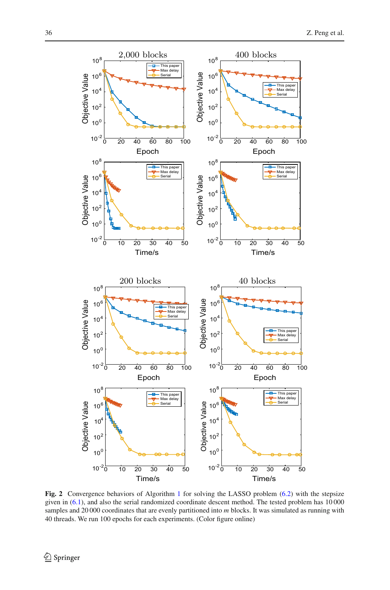

<span id="page-31-0"></span>**Fig. 2** Convergence behaviors of Algorithm [1](#page-2-0) for solving the LASSO problem [\(6.2\)](#page-29-1) with the stepsize given in [\(6.1\)](#page-29-3), and also the serial randomized coordinate descent method. The tested problem has 10 000 samples and 20 000 coordinates that are evenly partitioned into *m* blocks. It was simulated as running with 40 threads. We run 100 epochs for each experiments. (Color figure online)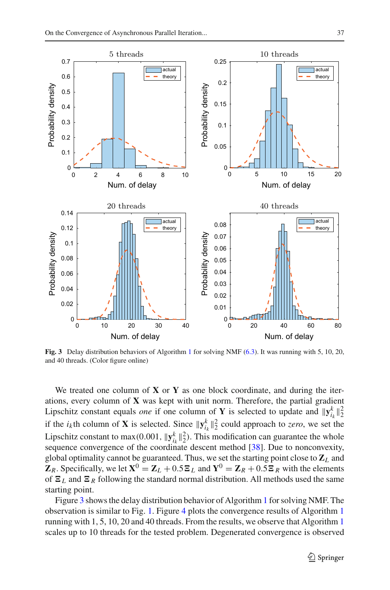

<span id="page-32-0"></span>**Fig. 3** Delay distribution behaviors of Algorithm [1](#page-2-0) for solving NMF [\(6.3\)](#page-30-1). It was running with 5, 10, 20, and 40 threads. (Color figure online)

We treated one column of **X** or **Y** as one block coordinate, and during the iterations, every column of **X** was kept with unit norm. Therefore, the partial gradient Lipschitz constant equals *one* if one column of **Y** is selected to update and  $||\mathbf{y}_{i_k}^k||_2^2$ if the *i<sub>k</sub>*th column of **X** is selected. Since  $\|\mathbf{y}_{i_k}^k\|_2^2$  could approach to *zero*, we set the Lipschitz constant to max(0.001,  $\|\mathbf{y}_{i_k}^k\|_2^2$ ). This modification can guarantee the whole sequence convergence of the coordinate descent method [\[38](#page-37-22)]. Due to nonconvexity, global optimality cannot be guaranteed. Thus, we set the starting point close to **Z***<sup>L</sup>* and **Z**<sub>*R*</sub>. Specifically, we let  $X^0 = Z_L + 0.5Z_L$  and  $Y^0 = Z_R + 0.5Z_R$  with the elements of  $\mathbf{E}_L$  and  $\mathbf{E}_R$  following the standard normal distribution. All methods used the same starting point.

Figure [3](#page-32-0) shows the delay distribution behavior of Algorithm [1](#page-2-0) for solving NMF. The observation is similar to Fig. [1.](#page-30-0) Figure [4](#page-33-1) plots the convergence results of Algorithm [1](#page-2-0) running with 1, 5, 10, 20 and 40 threads. From the results, we observe that Algorithm [1](#page-2-0) scales up to 10 threads for the tested problem. Degenerated convergence is observed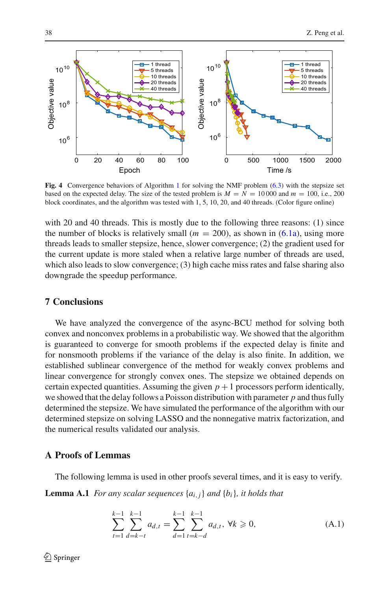

<span id="page-33-1"></span>**Fig. 4** Convergence behaviors of Algorithm [1](#page-2-0) for solving the NMF problem [\(6.3\)](#page-30-1) with the stepsize set based on the expected delay. The size of the tested problem is  $M = N = 10000$  and  $m = 100$ , i.e., 200 block coordinates, and the algorithm was tested with 1, 5, 10, 20, and 40 threads. (Color figure online)

with 20 and 40 threads. This is mostly due to the following three reasons: (1) since the number of blocks is relatively small  $(m = 200)$ , as shown in  $(6.1a)$ , using more threads leads to smaller stepsize, hence, slower convergence; (2) the gradient used for the current update is more staled when a relative large number of threads are used, which also leads to slow convergence; (3) high cache miss rates and false sharing also downgrade the speedup performance.

# **7 Conclusions**

We have analyzed the convergence of the async-BCU method for solving both convex and nonconvex problems in a probabilistic way. We showed that the algorithm is guaranteed to converge for smooth problems if the expected delay is finite and for nonsmooth problems if the variance of the delay is also finite. In addition, we established sublinear convergence of the method for weakly convex problems and linear convergence for strongly convex ones. The stepsize we obtained depends on certain expected quantities. Assuming the given  $p + 1$  processors perform identically, we showed that the delay follows a Poisson distribution with parameter *p* and thus fully determined the stepsize. We have simulated the performance of the algorithm with our determined stepsize on solving LASSO and the nonnegative matrix factorization, and the numerical results validated our analysis.

# **A Proofs of Lemmas**

The following lemma is used in other proofs several times, and it is easy to verify.

**Lemma A.1** *For any scalar sequences*  $\{a_{i,j}\}\$  *and*  $\{b_i\}\$ *, it holds that* 

<span id="page-33-0"></span>
$$
\sum_{t=1}^{k-1} \sum_{d=k-t}^{k-1} a_{d,t} = \sum_{d=1}^{k-1} \sum_{t=k-d}^{k-1} a_{d,t}, \ \forall k \geq 0,
$$
 (A.1)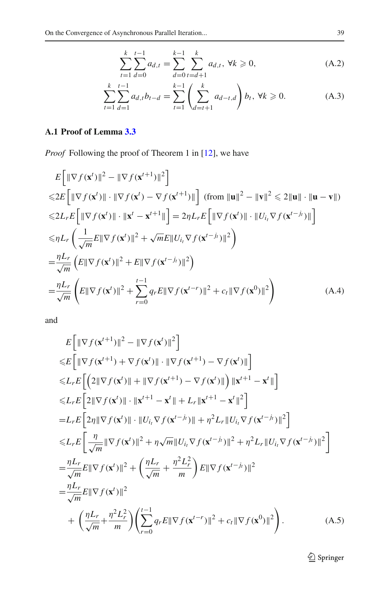<span id="page-34-0"></span>
$$
\sum_{t=1}^{k} \sum_{d=0}^{t-1} a_{d,t} = \sum_{d=0}^{k-1} \sum_{t=d+1}^{k} a_{d,t}, \ \forall k \ge 0,
$$
 (A.2)

$$
\sum_{t=1}^{k} \sum_{d=1}^{t-1} a_{d,t} b_{t-d} = \sum_{t=1}^{k-1} \left( \sum_{d=t+1}^{k} a_{d-t,d} \right) b_{t}, \forall k \ge 0.
$$
 (A.3)

# **A.1 Proof of Lemma [3.3](#page-10-3)**

*Proof* Following the proof of Theorem 1 in [\[12\]](#page-36-11), we have

$$
E\left[\|\nabla f(\mathbf{x}^{t})\|^{2} - \|\nabla f(\mathbf{x}^{t+1})\|^{2}\right]
$$
  
\n
$$
\leq 2E\left[\|\nabla f(\mathbf{x}^{t})\| \cdot \|\nabla f(\mathbf{x}^{t}) - \nabla f(\mathbf{x}^{t+1})\|\right] (\text{from } \|\mathbf{u}\|^{2} - \|\mathbf{v}\|^{2} \leq 2\|\mathbf{u}\| \cdot \|\mathbf{u} - \mathbf{v}\|)
$$
  
\n
$$
\leq 2L_{r}E\left[\|\nabla f(\mathbf{x}^{t})\| \cdot \|\mathbf{x}^{t} - \mathbf{x}^{t+1}\|\right] = 2\eta L_{r}E\left[\|\nabla f(\mathbf{x}^{t})\| \cdot \|\mathbf{U}_{i_{t}}\nabla f(\mathbf{x}^{t})\|^{2}\right]
$$
  
\n
$$
\leq \eta L_{r}\left(\frac{1}{\sqrt{m}}E\|\nabla f(\mathbf{x}^{t})\|^{2} + \sqrt{m}E\|\mathbf{U}_{i_{t}}\nabla f(\mathbf{x}^{t-j_{t}})\|^{2}\right)
$$
  
\n
$$
= \frac{\eta L_{r}}{\sqrt{m}}\left(E\|\nabla f(\mathbf{x}^{t})\|^{2} + E\|\nabla f(\mathbf{x}^{t-j_{t}})\|^{2}\right)
$$
  
\n
$$
= \frac{\eta L_{r}}{\sqrt{m}}\left(E\|\nabla f(\mathbf{x}^{t})\|^{2} + \sum_{r=0}^{t-1} q_{r}E\|\nabla f(\mathbf{x}^{t-r})\|^{2} + c_{t}\|\nabla f(\mathbf{x}^{0})\|^{2}\right)
$$
(A.4)

and

$$
E\left[\|\nabla f(\mathbf{x}^{t+1})\|^2 - \|\nabla f(\mathbf{x}^{t})\|^2\right] \n\leq E\left[\|\nabla f(\mathbf{x}^{t+1}) + \nabla f(\mathbf{x}^{t})\| \cdot \|\nabla f(\mathbf{x}^{t+1}) - \nabla f(\mathbf{x}^{t})\|\right] \n\leq L_r E\left[\left(2\|\nabla f(\mathbf{x}^{t})\| + \|\nabla f(\mathbf{x}^{t+1}) - \nabla f(\mathbf{x}^{t})\|\right) \|\mathbf{x}^{t+1} - \mathbf{x}^{t}\|\right] \n\leq L_r E\left[2\|\nabla f(\mathbf{x}^{t})\| \cdot \|\mathbf{x}^{t+1} - \mathbf{x}^{t}\| + L_r \|\mathbf{x}^{t+1} - \mathbf{x}^{t}\|^2\right] \n= L_r E\left[2\eta \|\nabla f(\mathbf{x}^{t})\| \cdot \|U_{i_t} \nabla f(\mathbf{x}^{t-j_t})\| + \eta^2 L_r \|U_{i_t} \nabla f(\mathbf{x}^{t-j_t})\|^2\right] \n\leq L_r E\left[\frac{\eta}{\sqrt{m}} \|\nabla f(\mathbf{x}^{t})\|^2 + \eta \sqrt{m} \|U_{i_t} \nabla f(\mathbf{x}^{t-j_t})\|^2 + \eta^2 L_r \|U_{i_t} \nabla f(\mathbf{x}^{t-j_t})\|^2\right] \n= \frac{\eta L_r}{\sqrt{m}} E\|\nabla f(\mathbf{x}^{t})\|^2 + \left(\frac{\eta L_r}{\sqrt{m}} + \frac{\eta^2 L_r^2}{m}\right) E\|\nabla f(\mathbf{x}^{t-j_t})\|^2 \n= \frac{\eta L_r}{\sqrt{m}} E\|\nabla f(\mathbf{x}^{t})\|^2 \n+ \left(\frac{\eta L_r}{\sqrt{m}} + \frac{\eta^2 L_r^2}{m}\right) \left(\sum_{r=0}^{t-1} q_r E\|\nabla f(\mathbf{x}^{t-r})\|^2 + c_t \|\nabla f(\mathbf{x}^{0})\|^2\right).
$$
\n(A.5)

 $\underline{\raisebox{.3ex}{\Leftrightarrow}}$  Springer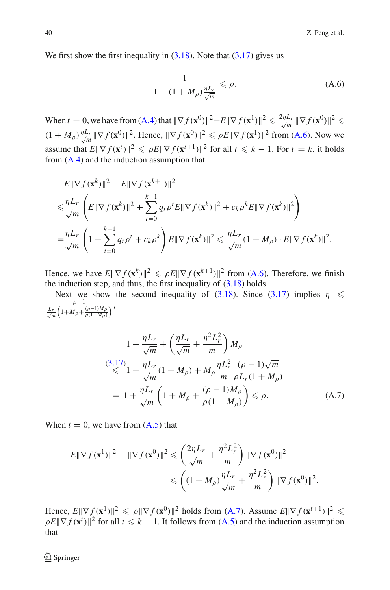We first show the first inequality in  $(3.18)$ . Note that  $(3.17)$  gives us

$$
\frac{1}{1 - (1 + M_{\rho})\frac{\eta L_r}{\sqrt{m}}} \leq \rho.
$$
\n(A.6)

When  $t = 0$ , we have from  $(A.4)$  that  $\|\nabla f(\mathbf{x}^0)\|^2 - E\|\nabla f(\mathbf{x}^1)\|^2 \leq \frac{2\eta L_r}{\sqrt{m}} \|\nabla f(\mathbf{x}^0)\|^2 \leq$  $(1 + M_\rho)\frac{\eta L_r}{\sqrt{m}} \|\nabla f(\mathbf{x}^0)\|^2$ . Hence,  $\|\nabla f(\mathbf{x}^0)\|^2 \le \rho E \|\nabla f(\mathbf{x}^1)\|^2$  from [\(A.6\)](#page-4-0). Now we assume that  $E\|\nabla f(\mathbf{x}^t)\|^2 \le \rho E\|\nabla f(\mathbf{x}^{t+1})\|^2$  for all  $t \le k - 1$ . For  $t = k$ , it holds from  $(A.4)$  and the induction assumption that

$$
E\|\nabla f(\mathbf{x}^{k})\|^{2} - E\|\nabla f(\mathbf{x}^{k+1})\|^{2}
$$
  
\n
$$
\leq \frac{\eta L_{r}}{\sqrt{m}} \left( E\|\nabla f(\mathbf{x}^{k})\|^{2} + \sum_{t=0}^{k-1} q_{t}\rho^{t} E\|\nabla f(\mathbf{x}^{k})\|^{2} + c_{k}\rho^{k} E\|\nabla f(\mathbf{x}^{k})\|^{2} \right)
$$
  
\n
$$
= \frac{\eta L_{r}}{\sqrt{m}} \left( 1 + \sum_{t=0}^{k-1} q_{t}\rho^{t} + c_{k}\rho^{k} \right) E\|\nabla f(\mathbf{x}^{k})\|^{2} \leq \frac{\eta L_{r}}{\sqrt{m}} (1 + M_{\rho}) \cdot E\|\nabla f(\mathbf{x}^{k})\|^{2}.
$$

Hence, we have  $E\|\nabla f(\mathbf{x}^k)\|^2 \le \rho E\|\nabla f(\mathbf{x}^{k+1})\|^2$  from [\(A.6\)](#page-4-0). Therefore, we finish the induction step, and thus, the first inequality of  $(3.18)$  holds.

Next we show the second inequality of [\(3.18\)](#page-11-1). Since [\(3.17\)](#page-10-4) implies  $\eta \leq$  $\rho-1$  $\frac{L_r}{\sqrt{m}}\left(1+M_\rho+\frac{(\rho-1)M_\rho}{\rho(1+M_\rho)}\right)$ 

$$
1 + \frac{\eta L_r}{\sqrt{m}} + \left(\frac{\eta L_r}{\sqrt{m}} + \frac{\eta^2 L_r^2}{m}\right) M_\rho
$$
  
\n
$$
\leq 1 + \frac{\eta L_r}{\sqrt{m}} (1 + M_\rho) + M_\rho \frac{\eta L_r^2}{m} \frac{(\rho - 1)\sqrt{m}}{\rho L_r (1 + M_\rho)}
$$
  
\n
$$
= 1 + \frac{\eta L_r}{\sqrt{m}} \left(1 + M_\rho + \frac{(\rho - 1)M_\rho}{\rho (1 + M_\rho)}\right) \leq \rho.
$$
 (A.7)

When  $t = 0$ , we have from  $(A.5)$  that

$$
E \|\nabla f(\mathbf{x}^1)\|^2 - \|\nabla f(\mathbf{x}^0)\|^2 \leqslant \left(\frac{2\eta L_r}{\sqrt{m}} + \frac{\eta^2 L_r^2}{m}\right) \|\nabla f(\mathbf{x}^0)\|^2
$$
  

$$
\leqslant \left((1 + M_\rho)\frac{\eta L_r}{\sqrt{m}} + \frac{\eta^2 L_r^2}{m}\right) \|\nabla f(\mathbf{x}^0)\|^2.
$$

Hence,  $E\|\nabla f(\mathbf{x}^1)\|^2 \le \rho \|\nabla f(\mathbf{x}^0)\|^2$  holds from [\(A.7\)](#page-4-2). Assume  $E\|\nabla f(\mathbf{x}^{t+1})\|^2 \le$  $\rho E || \nabla f(\mathbf{x}^t) ||^2$  for all  $t \le k - 1$ . It follows from [\(A.5\)](#page-4-7) and the induction assumption that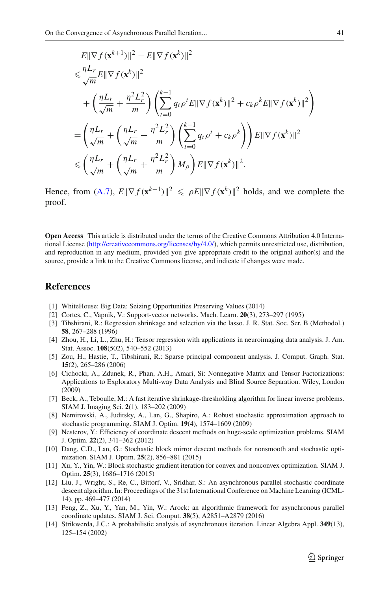$$
E\|\nabla f(\mathbf{x}^{k+1})\|^2 - E\|\nabla f(\mathbf{x}^k)\|^2
$$
  
\n
$$
\leq \frac{\eta L_r}{\sqrt{m}} E\|\nabla f(\mathbf{x}^k)\|^2
$$
  
\n
$$
+ \left(\frac{\eta L_r}{\sqrt{m}} + \frac{\eta^2 L_r^2}{m}\right) \left(\sum_{t=0}^{k-1} q_t \rho^t E\|\nabla f(\mathbf{x}^k)\|^2 + c_k \rho^k E\|\nabla f(\mathbf{x}^k)\|^2\right)
$$
  
\n
$$
= \left(\frac{\eta L_r}{\sqrt{m}} + \left(\frac{\eta L_r}{\sqrt{m}} + \frac{\eta^2 L_r^2}{m}\right) \left(\sum_{t=0}^{k-1} q_t \rho^t + c_k \rho^k\right)\right) E\|\nabla f(\mathbf{x}^k)\|^2
$$
  
\n
$$
\leq \left(\frac{\eta L_r}{\sqrt{m}} + \left(\frac{\eta L_r}{\sqrt{m}} + \frac{\eta^2 L_r^2}{m}\right) M_\rho\right) E\|\nabla f(\mathbf{x}^k)\|^2.
$$

Hence, from [\(A.7\)](#page-4-2),  $E\|\nabla f(\mathbf{x}^{k+1})\|^2 \le \rho E\|\nabla f(\mathbf{x}^k)\|^2$  holds, and we complete the proof.

**Open Access** This article is distributed under the terms of the Creative Commons Attribution 4.0 International License [\(http://creativecommons.org/licenses/by/4.0/\)](http://creativecommons.org/licenses/by/4.0/), which permits unrestricted use, distribution, and reproduction in any medium, provided you give appropriate credit to the original author(s) and the source, provide a link to the Creative Commons license, and indicate if changes were made.

# **References**

- <span id="page-36-0"></span>[1] WhiteHouse: Big Data: Seizing Opportunities Preserving Values (2014)
- <span id="page-36-1"></span>[2] Cortes, C., Vapnik, V.: Support-vector networks. Mach. Learn. **20**(3), 273–297 (1995)
- <span id="page-36-2"></span>[3] Tibshirani, R.: Regression shrinkage and selection via the lasso. J. R. Stat. Soc. Ser. B (Methodol.) **58**, 267–288 (1996)
- <span id="page-36-3"></span>[4] Zhou, H., Li, L., Zhu, H.: Tensor regression with applications in neuroimaging data analysis. J. Am. Stat. Assoc. **108**(502), 540–552 (2013)
- <span id="page-36-4"></span>[5] Zou, H., Hastie, T., Tibshirani, R.: Sparse principal component analysis. J. Comput. Graph. Stat. **15**(2), 265–286 (2006)
- <span id="page-36-5"></span>[6] Cichocki, A., Zdunek, R., Phan, A.H., Amari, Si: Nonnegative Matrix and Tensor Factorizations: Applications to Exploratory Multi-way Data Analysis and Blind Source Separation. Wiley, London (2009)
- <span id="page-36-6"></span>[7] Beck, A., Teboulle, M.: A fast iterative shrinkage-thresholding algorithm for linear inverse problems. SIAM J. Imaging Sci. **2**(1), 183–202 (2009)
- <span id="page-36-7"></span>[8] Nemirovski, A., Juditsky, A., Lan, G., Shapiro, A.: Robust stochastic approximation approach to stochastic programming. SIAM J. Optim. **19**(4), 1574–1609 (2009)
- <span id="page-36-8"></span>[9] Nesterov, Y.: Efficiency of coordinate descent methods on huge-scale optimization problems. SIAM J. Optim. **22**(2), 341–362 (2012)
- <span id="page-36-9"></span>[10] Dang, C.D., Lan, G.: Stochastic block mirror descent methods for nonsmooth and stochastic optimization. SIAM J. Optim. **25**(2), 856–881 (2015)
- <span id="page-36-10"></span>[11] Xu, Y., Yin, W.: Block stochastic gradient iteration for convex and nonconvex optimization. SIAM J. Optim. **25**(3), 1686–1716 (2015)
- <span id="page-36-11"></span>[12] Liu, J., Wright, S., Re, C., Bittorf, V., Sridhar, S.: An asynchronous parallel stochastic coordinate descent algorithm. In: Proceedings of the 31st International Conference on Machine Learning (ICML-14), pp. 469–477 (2014)
- <span id="page-36-12"></span>[13] Peng, Z., Xu, Y., Yan, M., Yin, W.: Arock: an algorithmic framework for asynchronous parallel coordinate updates. SIAM J. Sci. Comput. **38**(5), A2851–A2879 (2016)
- <span id="page-36-13"></span>[14] Strikwerda, J.C.: A probabilistic analysis of asynchronous iteration. Linear Algebra Appl. **349**(13), 125–154 (2002)